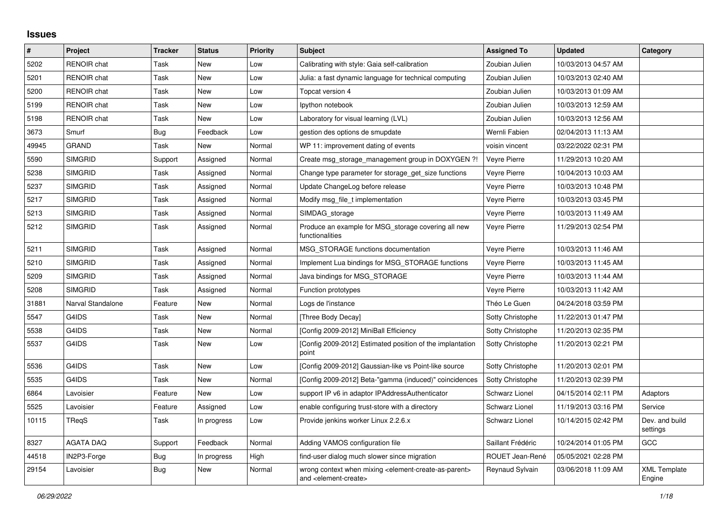## **Issues**

| $\sharp$ | Project            | <b>Tracker</b> | <b>Status</b> | <b>Priority</b> | Subject                                                                                                                   | <b>Assigned To</b>  | <b>Updated</b>      | Category                      |
|----------|--------------------|----------------|---------------|-----------------|---------------------------------------------------------------------------------------------------------------------------|---------------------|---------------------|-------------------------------|
| 5202     | <b>RENOIR chat</b> | Task           | New           | Low             | Calibrating with style: Gaia self-calibration                                                                             | Zoubian Julien      | 10/03/2013 04:57 AM |                               |
| 5201     | <b>RENOIR chat</b> | Task           | New           | Low             | Julia: a fast dynamic language for technical computing                                                                    | Zoubian Julien      | 10/03/2013 02:40 AM |                               |
| 5200     | <b>RENOIR chat</b> | Task           | New           | Low             | Topcat version 4                                                                                                          | Zoubian Julien      | 10/03/2013 01:09 AM |                               |
| 5199     | <b>RENOIR</b> chat | Task           | <b>New</b>    | Low             | lpython notebook                                                                                                          | Zoubian Julien      | 10/03/2013 12:59 AM |                               |
| 5198     | <b>RENOIR chat</b> | Task           | <b>New</b>    | Low             | Laboratory for visual learning (LVL)                                                                                      | Zoubian Julien      | 10/03/2013 12:56 AM |                               |
| 3673     | Smurf              | <b>Bug</b>     | Feedback      | Low             | gestion des options de smupdate                                                                                           | Wernli Fabien       | 02/04/2013 11:13 AM |                               |
| 49945    | <b>GRAND</b>       | Task           | New           | Normal          | WP 11: improvement dating of events                                                                                       | voisin vincent      | 03/22/2022 02:31 PM |                               |
| 5590     | <b>SIMGRID</b>     | Support        | Assigned      | Normal          | Create msg_storage_management group in DOXYGEN ?!                                                                         | Veyre Pierre        | 11/29/2013 10:20 AM |                               |
| 5238     | <b>SIMGRID</b>     | Task           | Assigned      | Normal          | Change type parameter for storage_get_size functions                                                                      | Veyre Pierre        | 10/04/2013 10:03 AM |                               |
| 5237     | <b>SIMGRID</b>     | Task           | Assigned      | Normal          | Update ChangeLog before release                                                                                           | <b>Veyre Pierre</b> | 10/03/2013 10:48 PM |                               |
| 5217     | <b>SIMGRID</b>     | Task           | Assigned      | Normal          | Modify msg_file_t implementation                                                                                          | Veyre Pierre        | 10/03/2013 03:45 PM |                               |
| 5213     | <b>SIMGRID</b>     | Task           | Assigned      | Normal          | SIMDAG_storage                                                                                                            | Veyre Pierre        | 10/03/2013 11:49 AM |                               |
| 5212     | <b>SIMGRID</b>     | Task           | Assigned      | Normal          | Produce an example for MSG_storage covering all new<br>functionalities                                                    | Veyre Pierre        | 11/29/2013 02:54 PM |                               |
| 5211     | <b>SIMGRID</b>     | Task           | Assigned      | Normal          | MSG STORAGE functions documentation                                                                                       | Veyre Pierre        | 10/03/2013 11:46 AM |                               |
| 5210     | <b>SIMGRID</b>     | Task           | Assigned      | Normal          | Implement Lua bindings for MSG STORAGE functions                                                                          | Veyre Pierre        | 10/03/2013 11:45 AM |                               |
| 5209     | <b>SIMGRID</b>     | Task           | Assigned      | Normal          | Java bindings for MSG STORAGE                                                                                             | Veyre Pierre        | 10/03/2013 11:44 AM |                               |
| 5208     | <b>SIMGRID</b>     | Task           | Assigned      | Normal          | Function prototypes                                                                                                       | Veyre Pierre        | 10/03/2013 11:42 AM |                               |
| 31881    | Narval Standalone  | Feature        | New           | Normal          | Logs de l'instance                                                                                                        | Théo Le Guen        | 04/24/2018 03:59 PM |                               |
| 5547     | G4IDS              | Task           | New           | Normal          | [Three Body Decay]                                                                                                        | Sotty Christophe    | 11/22/2013 01:47 PM |                               |
| 5538     | G4IDS              | Task           | New           | Normal          | [Config 2009-2012] MiniBall Efficiency                                                                                    | Sotty Christophe    | 11/20/2013 02:35 PM |                               |
| 5537     | G4IDS              | Task           | New           | Low             | [Config 2009-2012] Estimated position of the implantation<br>point                                                        | Sotty Christophe    | 11/20/2013 02:21 PM |                               |
| 5536     | G4IDS              | Task           | New           | Low             | [Config 2009-2012] Gaussian-like vs Point-like source                                                                     | Sotty Christophe    | 11/20/2013 02:01 PM |                               |
| 5535     | G4IDS              | Task           | New           | Normal          | [Config 2009-2012] Beta-"gamma (induced)" coincidences                                                                    | Sotty Christophe    | 11/20/2013 02:39 PM |                               |
| 6864     | Lavoisier          | Feature        | New           | Low             | support IP v6 in adaptor IPAddressAuthenticator                                                                           | Schwarz Lionel      | 04/15/2014 02:11 PM | Adaptors                      |
| 5525     | Lavoisier          | Feature        | Assigned      | Low             | enable configuring trust-store with a directory                                                                           | Schwarz Lionel      | 11/19/2013 03:16 PM | Service                       |
| 10115    | TReqS              | Task           | In progress   | Low             | Provide jenkins worker Linux 2.2.6.x                                                                                      | Schwarz Lionel      | 10/14/2015 02:42 PM | Dev. and build<br>settings    |
| 8327     | <b>AGATA DAQ</b>   | Support        | Feedback      | Normal          | Adding VAMOS configuration file                                                                                           | Saillant Frédéric   | 10/24/2014 01:05 PM | GCC                           |
| 44518    | IN2P3-Forge        | <b>Bug</b>     | In progress   | High            | find-user dialog much slower since migration                                                                              | ROUET Jean-René     | 05/05/2021 02:28 PM |                               |
| 29154    | Lavoisier          | <b>Bug</b>     | New           | Normal          | wrong context when mixing <element-create-as-parent><br/>and <element-create></element-create></element-create-as-parent> | Reynaud Sylvain     | 03/06/2018 11:09 AM | <b>XML Template</b><br>Engine |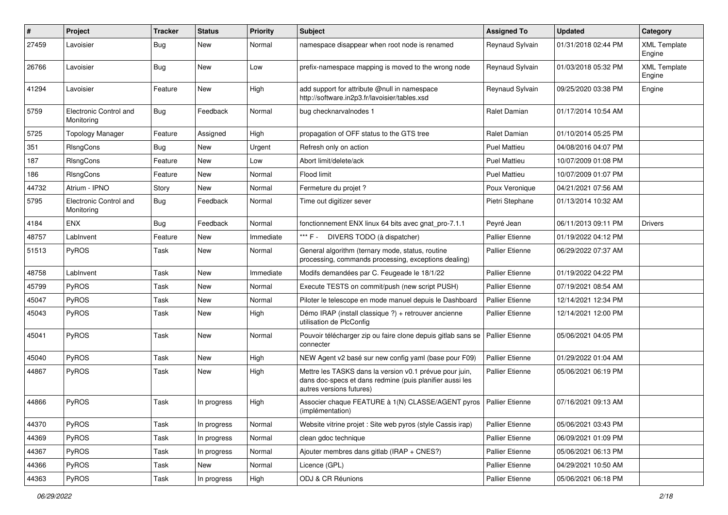| $\pmb{\#}$ | Project                              | <b>Tracker</b> | <b>Status</b> | Priority  | <b>Subject</b>                                                                                                                                  | <b>Assigned To</b>     | <b>Updated</b>      | Category                      |
|------------|--------------------------------------|----------------|---------------|-----------|-------------------------------------------------------------------------------------------------------------------------------------------------|------------------------|---------------------|-------------------------------|
| 27459      | Lavoisier                            | Bug            | New           | Normal    | namespace disappear when root node is renamed                                                                                                   | Reynaud Sylvain        | 01/31/2018 02:44 PM | <b>XML Template</b><br>Engine |
| 26766      | Lavoisier                            | <b>Bug</b>     | <b>New</b>    | Low       | prefix-namespace mapping is moved to the wrong node                                                                                             | Reynaud Sylvain        | 01/03/2018 05:32 PM | <b>XML Template</b><br>Engine |
| 41294      | Lavoisier                            | Feature        | <b>New</b>    | High      | add support for attribute @null in namespace<br>http://software.in2p3.fr/lavoisier/tables.xsd                                                   | Reynaud Sylvain        | 09/25/2020 03:38 PM | Engine                        |
| 5759       | Electronic Control and<br>Monitoring | Bug            | Feedback      | Normal    | bug checknarvalnodes 1                                                                                                                          | Ralet Damian           | 01/17/2014 10:54 AM |                               |
| 5725       | <b>Topology Manager</b>              | Feature        | Assigned      | High      | propagation of OFF status to the GTS tree                                                                                                       | Ralet Damian           | 01/10/2014 05:25 PM |                               |
| 351        | RIsngCons                            | <b>Bug</b>     | New           | Urgent    | Refresh only on action                                                                                                                          | <b>Puel Mattieu</b>    | 04/08/2016 04:07 PM |                               |
| 187        | RIsngCons                            | Feature        | <b>New</b>    | Low       | Abort limit/delete/ack                                                                                                                          | Puel Mattieu           | 10/07/2009 01:08 PM |                               |
| 186        | RIsngCons                            | Feature        | New           | Normal    | Flood limit                                                                                                                                     | <b>Puel Mattieu</b>    | 10/07/2009 01:07 PM |                               |
| 44732      | Atrium - IPNO                        | Story          | <b>New</b>    | Normal    | Fermeture du projet ?                                                                                                                           | Poux Veronique         | 04/21/2021 07:56 AM |                               |
| 5795       | Electronic Control and<br>Monitoring | <b>Bug</b>     | Feedback      | Normal    | Time out digitizer sever                                                                                                                        | Pietri Stephane        | 01/13/2014 10:32 AM |                               |
| 4184       | <b>ENX</b>                           | <b>Bug</b>     | Feedback      | Normal    | fonctionnement ENX linux 64 bits avec gnat pro-7.1.1                                                                                            | Peyré Jean             | 06/11/2013 09:11 PM | <b>Drivers</b>                |
| 48757      | LabInvent                            | Feature        | New           | Immediate | *** F -<br>DIVERS TODO (à dispatcher)                                                                                                           | <b>Pallier Etienne</b> | 01/19/2022 04:12 PM |                               |
| 51513      | PyROS                                | Task           | <b>New</b>    | Normal    | General algorithm (ternary mode, status, routine<br>processing, commands processing, exceptions dealing)                                        | <b>Pallier Etienne</b> | 06/29/2022 07:37 AM |                               |
| 48758      | LabInvent                            | Task           | <b>New</b>    | Immediate | Modifs demandées par C. Feugeade le 18/1/22                                                                                                     | <b>Pallier Etienne</b> | 01/19/2022 04:22 PM |                               |
| 45799      | PyROS                                | Task           | <b>New</b>    | Normal    | Execute TESTS on commit/push (new script PUSH)                                                                                                  | <b>Pallier Etienne</b> | 07/19/2021 08:54 AM |                               |
| 45047      | PyROS                                | Task           | <b>New</b>    | Normal    | Piloter le telescope en mode manuel depuis le Dashboard                                                                                         | <b>Pallier Etienne</b> | 12/14/2021 12:34 PM |                               |
| 45043      | PyROS                                | Task           | <b>New</b>    | High      | Démo IRAP (install classique ?) + retrouver ancienne<br>utilisation de PlcConfig                                                                | <b>Pallier Etienne</b> | 12/14/2021 12:00 PM |                               |
| 45041      | PyROS                                | Task           | <b>New</b>    | Normal    | Pouvoir télécharger zip ou faire clone depuis gitlab sans se<br>connecter                                                                       | Pallier Etienne        | 05/06/2021 04:05 PM |                               |
| 45040      | PyROS                                | Task           | New           | High      | NEW Agent v2 basé sur new config yaml (base pour F09)                                                                                           | <b>Pallier Etienne</b> | 01/29/2022 01:04 AM |                               |
| 44867      | PyROS                                | Task           | New           | High      | Mettre les TASKS dans la version v0.1 prévue pour juin,<br>dans doc-specs et dans redmine (puis planifier aussi les<br>autres versions futures) | <b>Pallier Etienne</b> | 05/06/2021 06:19 PM |                               |
| 44866      | PyROS                                | Task           | In progress   | High      | Associer chaque FEATURE à 1(N) CLASSE/AGENT pyros   Pallier Etienne<br>(implémentation)                                                         |                        | 07/16/2021 09:13 AM |                               |
| 44370      | PyROS                                | Task           | In progress   | Normal    | Website vitrine projet : Site web pyros (style Cassis irap)                                                                                     | <b>Pallier Etienne</b> | 05/06/2021 03:43 PM |                               |
| 44369      | PyROS                                | Task           | In progress   | Normal    | clean gdoc technique                                                                                                                            | Pallier Etienne        | 06/09/2021 01:09 PM |                               |
| 44367      | PyROS                                | Task           | In progress   | Normal    | Ajouter membres dans gitlab (IRAP + CNES?)                                                                                                      | Pallier Etienne        | 05/06/2021 06:13 PM |                               |
| 44366      | PyROS                                | Task           | New           | Normal    | Licence (GPL)                                                                                                                                   | <b>Pallier Etienne</b> | 04/29/2021 10:50 AM |                               |
| 44363      | PyROS                                | Task           | In progress   | High      | ODJ & CR Réunions                                                                                                                               | Pallier Etienne        | 05/06/2021 06:18 PM |                               |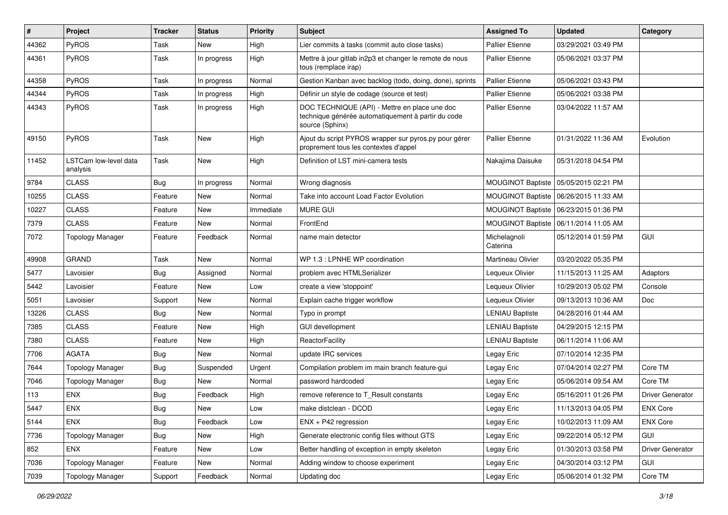| #     | Project                           | <b>Tracker</b> | <b>Status</b> | <b>Priority</b> | Subject                                                                                                                | <b>Assigned To</b>       | <b>Updated</b>                          | Category                |
|-------|-----------------------------------|----------------|---------------|-----------------|------------------------------------------------------------------------------------------------------------------------|--------------------------|-----------------------------------------|-------------------------|
| 44362 | PyROS                             | Task           | <b>New</b>    | High            | Lier commits à tasks (commit auto close tasks)                                                                         | <b>Pallier Etienne</b>   | 03/29/2021 03:49 PM                     |                         |
| 44361 | PyROS                             | Task           | In progress   | High            | Mettre à jour gitlab in2p3 et changer le remote de nous<br>tous (remplace irap)                                        | <b>Pallier Etienne</b>   | 05/06/2021 03:37 PM                     |                         |
| 44358 | PyROS                             | Task           | In progress   | Normal          | Gestion Kanban avec backlog (todo, doing, done), sprints                                                               | <b>Pallier Etienne</b>   | 05/06/2021 03:43 PM                     |                         |
| 44344 | <b>PyROS</b>                      | Task           | In progress   | High            | Définir un style de codage (source et test)                                                                            | <b>Pallier Etienne</b>   | 05/06/2021 03:38 PM                     |                         |
| 44343 | PyROS                             | Task           | In progress   | High            | DOC TECHNIQUE (API) - Mettre en place une doc<br>technique générée automatiquement à partir du code<br>source (Sphinx) | <b>Pallier Etienne</b>   | 03/04/2022 11:57 AM                     |                         |
| 49150 | PyROS                             | Task           | <b>New</b>    | High            | Ajout du script PYROS wrapper sur pyros.py pour gérer<br>proprement tous les contextes d'appel                         | <b>Pallier Etienne</b>   | 01/31/2022 11:36 AM                     | Evolution               |
| 11452 | LSTCam low-level data<br>analysis | Task           | New           | High            | Definition of LST mini-camera tests                                                                                    | Nakajima Daisuke         | 05/31/2018 04:54 PM                     |                         |
| 9784  | <b>CLASS</b>                      | <b>Bug</b>     | In progress   | Normal          | Wrong diagnosis                                                                                                        | <b>MOUGINOT Baptiste</b> | 05/05/2015 02:21 PM                     |                         |
| 10255 | <b>CLASS</b>                      | Feature        | New           | Normal          | Take into account Load Factor Evolution                                                                                | <b>MOUGINOT Baptiste</b> | 06/26/2015 11:33 AM                     |                         |
| 10227 | <b>CLASS</b>                      | Feature        | New           | Immediate       | <b>MURE GUI</b>                                                                                                        |                          | MOUGINOT Baptiste   06/23/2015 01:36 PM |                         |
| 7379  | <b>CLASS</b>                      | Feature        | New           | Normal          | FrontEnd                                                                                                               | <b>MOUGINOT Baptiste</b> | 06/11/2014 11:05 AM                     |                         |
| 7072  | <b>Topology Manager</b>           | Feature        | Feedback      | Normal          | name main detector                                                                                                     | Michelagnoli<br>Caterina | 05/12/2014 01:59 PM                     | <b>GUI</b>              |
| 49908 | <b>GRAND</b>                      | Task           | <b>New</b>    | Normal          | WP 1.3 : LPNHE WP coordination                                                                                         | Martineau Olivier        | 03/20/2022 05:35 PM                     |                         |
| 5477  | Lavoisier                         | <b>Bug</b>     | Assigned      | Normal          | problem avec HTMLSerializer                                                                                            | Lequeux Olivier          | 11/15/2013 11:25 AM                     | Adaptors                |
| 5442  | Lavoisier                         | Feature        | New           | Low             | create a view 'stoppoint'                                                                                              | Lequeux Olivier          | 10/29/2013 05:02 PM                     | Console                 |
| 5051  | Lavoisier                         | Support        | New           | Normal          | Explain cache trigger workflow                                                                                         | Lequeux Olivier          | 09/13/2013 10:36 AM                     | Doc                     |
| 13226 | <b>CLASS</b>                      | <b>Bug</b>     | <b>New</b>    | Normal          | Typo in prompt                                                                                                         | <b>LENIAU Baptiste</b>   | 04/28/2016 01:44 AM                     |                         |
| 7385  | <b>CLASS</b>                      | Feature        | New           | High            | <b>GUI devellopment</b>                                                                                                | <b>LENIAU Baptiste</b>   | 04/29/2015 12:15 PM                     |                         |
| 7380  | <b>CLASS</b>                      | Feature        | New           | High            | ReactorFacility                                                                                                        | <b>LENIAU Baptiste</b>   | 06/11/2014 11:06 AM                     |                         |
| 7706  | <b>AGATA</b>                      | <b>Bug</b>     | New           | Normal          | update IRC services                                                                                                    | Legay Eric               | 07/10/2014 12:35 PM                     |                         |
| 7644  | <b>Topology Manager</b>           | <b>Bug</b>     | Suspended     | Urgent          | Compilation problem im main branch feature-gui                                                                         | Legay Eric               | 07/04/2014 02:27 PM                     | Core TM                 |
| 7046  | <b>Topology Manager</b>           | <b>Bug</b>     | New           | Normal          | password hardcoded                                                                                                     | Legay Eric               | 05/06/2014 09:54 AM                     | Core TM                 |
| 113   | <b>ENX</b>                        | <b>Bug</b>     | Feedback      | High            | remove reference to T_Result constants                                                                                 | Legay Eric               | 05/16/2011 01:26 PM                     | <b>Driver Generator</b> |
| 5447  | <b>ENX</b>                        | Bug            | New           | Low             | make distclean - DCOD                                                                                                  | Legay Eric               | 11/13/2013 04:05 PM                     | <b>ENX Core</b>         |
| 5144  | ENX                               | <b>Bug</b>     | Feedback      | Low             | $ENX + P42$ regression                                                                                                 | Legay Eric               | 10/02/2013 11:09 AM                     | <b>ENX Core</b>         |
| 7736  | <b>Topology Manager</b>           | Bug            | New           | High            | Generate electronic config files without GTS                                                                           | Legay Eric               | 09/22/2014 05:12 PM                     | GUI                     |
| 852   | ENX                               | Feature        | New           | Low             | Better handling of exception in empty skeleton                                                                         | Legay Eric               | 01/30/2013 03:58 PM                     | Driver Generator        |
| 7036  | <b>Topology Manager</b>           | Feature        | New           | Normal          | Adding window to choose experiment                                                                                     | Legay Eric               | 04/30/2014 03:12 PM                     | GUI                     |
| 7039  | <b>Topology Manager</b>           | Support        | Feedback      | Normal          | Updating doc                                                                                                           | Legay Eric               | 05/06/2014 01:32 PM                     | Core TM                 |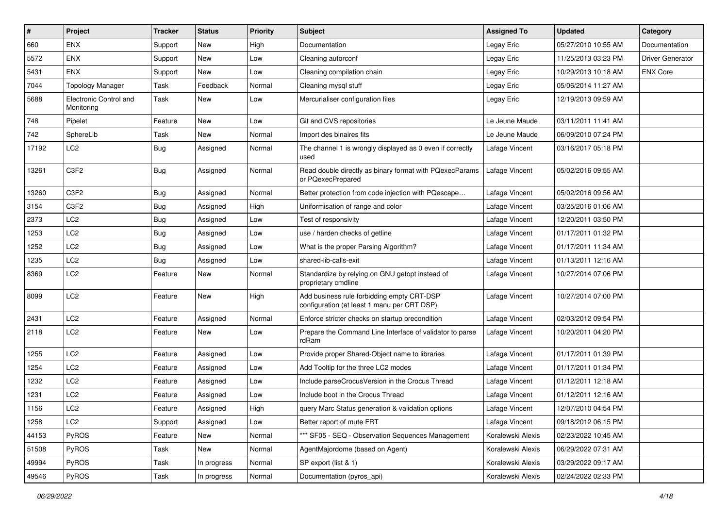| $\sharp$ | Project                              | <b>Tracker</b> | <b>Status</b> | <b>Priority</b> | <b>Subject</b>                                                                            | <b>Assigned To</b> | <b>Updated</b>      | Category         |
|----------|--------------------------------------|----------------|---------------|-----------------|-------------------------------------------------------------------------------------------|--------------------|---------------------|------------------|
| 660      | <b>ENX</b>                           | Support        | New           | High            | Documentation                                                                             | Legay Eric         | 05/27/2010 10:55 AM | Documentation    |
| 5572     | <b>ENX</b>                           | Support        | New           | Low             | Cleaning autorconf                                                                        | Legay Eric         | 11/25/2013 03:23 PM | Driver Generator |
| 5431     | ENX                                  | Support        | New           | Low             | Cleaning compilation chain                                                                | Legay Eric         | 10/29/2013 10:18 AM | <b>ENX Core</b>  |
| 7044     | <b>Topology Manager</b>              | Task           | Feedback      | Normal          | Cleaning mysql stuff                                                                      | Legay Eric         | 05/06/2014 11:27 AM |                  |
| 5688     | Electronic Control and<br>Monitoring | Task           | New           | Low             | Mercurialiser configuration files                                                         | Legay Eric         | 12/19/2013 09:59 AM |                  |
| 748      | Pipelet                              | Feature        | <b>New</b>    | Low             | Git and CVS repositories                                                                  | Le Jeune Maude     | 03/11/2011 11:41 AM |                  |
| 742      | SphereLib                            | Task           | New           | Normal          | Import des binaires fits                                                                  | Le Jeune Maude     | 06/09/2010 07:24 PM |                  |
| 17192    | LC <sub>2</sub>                      | Bug            | Assigned      | Normal          | The channel 1 is wrongly displayed as 0 even if correctly<br>used                         | Lafage Vincent     | 03/16/2017 05:18 PM |                  |
| 13261    | C3F2                                 | <b>Bug</b>     | Assigned      | Normal          | Read double directly as binary format with PQexecParams<br>or PQexecPrepared              | Lafage Vincent     | 05/02/2016 09:55 AM |                  |
| 13260    | C3F2                                 | <b>Bug</b>     | Assigned      | Normal          | Better protection from code injection with PQescape                                       | Lafage Vincent     | 05/02/2016 09:56 AM |                  |
| 3154     | C <sub>3F2</sub>                     | Bug            | Assigned      | High            | Uniformisation of range and color                                                         | Lafage Vincent     | 03/25/2016 01:06 AM |                  |
| 2373     | LC <sub>2</sub>                      | <b>Bug</b>     | Assigned      | Low             | Test of responsivity                                                                      | Lafage Vincent     | 12/20/2011 03:50 PM |                  |
| 1253     | LC <sub>2</sub>                      | <b>Bug</b>     | Assigned      | Low             | use / harden checks of getline                                                            | Lafage Vincent     | 01/17/2011 01:32 PM |                  |
| 1252     | LC <sub>2</sub>                      | Bug            | Assigned      | Low             | What is the proper Parsing Algorithm?                                                     | Lafage Vincent     | 01/17/2011 11:34 AM |                  |
| 1235     | LC <sub>2</sub>                      | <b>Bug</b>     | Assigned      | Low             | shared-lib-calls-exit                                                                     | Lafage Vincent     | 01/13/2011 12:16 AM |                  |
| 8369     | LC2                                  | Feature        | New           | Normal          | Standardize by relying on GNU getopt instead of<br>proprietary cmdline                    | Lafage Vincent     | 10/27/2014 07:06 PM |                  |
| 8099     | LC <sub>2</sub>                      | Feature        | New           | High            | Add business rule forbidding empty CRT-DSP<br>configuration (at least 1 manu per CRT DSP) | Lafage Vincent     | 10/27/2014 07:00 PM |                  |
| 2431     | LC <sub>2</sub>                      | Feature        | Assigned      | Normal          | Enforce stricter checks on startup precondition                                           | Lafage Vincent     | 02/03/2012 09:54 PM |                  |
| 2118     | LC <sub>2</sub>                      | Feature        | New           | Low             | Prepare the Command Line Interface of validator to parse<br>rdRam                         | Lafage Vincent     | 10/20/2011 04:20 PM |                  |
| 1255     | LC <sub>2</sub>                      | Feature        | Assigned      | Low             | Provide proper Shared-Object name to libraries                                            | Lafage Vincent     | 01/17/2011 01:39 PM |                  |
| 1254     | LC <sub>2</sub>                      | Feature        | Assigned      | Low             | Add Tooltip for the three LC2 modes                                                       | Lafage Vincent     | 01/17/2011 01:34 PM |                  |
| 1232     | LC <sub>2</sub>                      | Feature        | Assigned      | Low             | Include parseCrocusVersion in the Crocus Thread                                           | Lafage Vincent     | 01/12/2011 12:18 AM |                  |
| 1231     | LC <sub>2</sub>                      | Feature        | Assigned      | Low             | Include boot in the Crocus Thread                                                         | Lafage Vincent     | 01/12/2011 12:16 AM |                  |
| 1156     | LC <sub>2</sub>                      | Feature        | Assigned      | High            | query Marc Status generation & validation options                                         | Lafage Vincent     | 12/07/2010 04:54 PM |                  |
| 1258     | LC2                                  | Support        | Assigned      | Low             | Better report of mute FRT                                                                 | Lafage Vincent     | 09/18/2012 06:15 PM |                  |
| 44153    | PyROS                                | Feature        | New           | Normal          | *** SF05 - SEQ - Observation Sequences Management                                         | Koralewski Alexis  | 02/23/2022 10:45 AM |                  |
| 51508    | PyROS                                | Task           | New           | Normal          | AgentMajordome (based on Agent)                                                           | Koralewski Alexis  | 06/29/2022 07:31 AM |                  |
| 49994    | PyROS                                | Task           | In progress   | Normal          | SP export (list & 1)                                                                      | Koralewski Alexis  | 03/29/2022 09:17 AM |                  |
| 49546    | PyROS                                | Task           | In progress   | Normal          | Documentation (pyros_api)                                                                 | Koralewski Alexis  | 02/24/2022 02:33 PM |                  |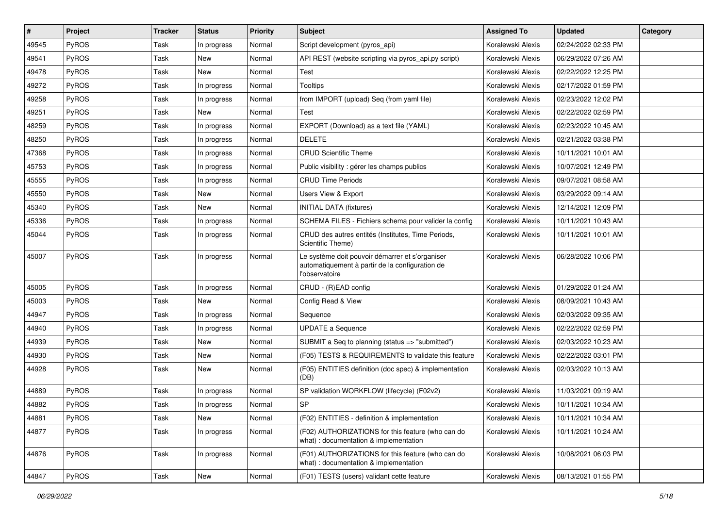| #     | Project      | <b>Tracker</b> | <b>Status</b> | <b>Priority</b> | Subject                                                                                                              | <b>Assigned To</b> | <b>Updated</b>      | Category |
|-------|--------------|----------------|---------------|-----------------|----------------------------------------------------------------------------------------------------------------------|--------------------|---------------------|----------|
| 49545 | PyROS        | Task           | In progress   | Normal          | Script development (pyros_api)                                                                                       | Koralewski Alexis  | 02/24/2022 02:33 PM |          |
| 49541 | PyROS        | Task           | <b>New</b>    | Normal          | API REST (website scripting via pyros_api.py script)                                                                 | Koralewski Alexis  | 06/29/2022 07:26 AM |          |
| 49478 | PyROS        | Task           | <b>New</b>    | Normal          | Test                                                                                                                 | Koralewski Alexis  | 02/22/2022 12:25 PM |          |
| 49272 | PyROS        | Task           | In progress   | Normal          | Tooltips                                                                                                             | Koralewski Alexis  | 02/17/2022 01:59 PM |          |
| 49258 | PyROS        | Task           | In progress   | Normal          | from IMPORT (upload) Seq (from yaml file)                                                                            | Koralewski Alexis  | 02/23/2022 12:02 PM |          |
| 49251 | PyROS        | Task           | <b>New</b>    | Normal          | Test                                                                                                                 | Koralewski Alexis  | 02/22/2022 02:59 PM |          |
| 48259 | PyROS        | Task           | In progress   | Normal          | EXPORT (Download) as a text file (YAML)                                                                              | Koralewski Alexis  | 02/23/2022 10:45 AM |          |
| 48250 | <b>PyROS</b> | Task           | In progress   | Normal          | <b>DELETE</b>                                                                                                        | Koralewski Alexis  | 02/21/2022 03:38 PM |          |
| 47368 | PyROS        | Task           | In progress   | Normal          | <b>CRUD Scientific Theme</b>                                                                                         | Koralewski Alexis  | 10/11/2021 10:01 AM |          |
| 45753 | PyROS        | Task           | In progress   | Normal          | Public visibility : gérer les champs publics                                                                         | Koralewski Alexis  | 10/07/2021 12:49 PM |          |
| 45555 | <b>PyROS</b> | Task           | In progress   | Normal          | <b>CRUD Time Periods</b>                                                                                             | Koralewski Alexis  | 09/07/2021 08:58 AM |          |
| 45550 | PyROS        | Task           | <b>New</b>    | Normal          | Users View & Export                                                                                                  | Koralewski Alexis  | 03/29/2022 09:14 AM |          |
| 45340 | PyROS        | Task           | <b>New</b>    | Normal          | <b>INITIAL DATA (fixtures)</b>                                                                                       | Koralewski Alexis  | 12/14/2021 12:09 PM |          |
| 45336 | PyROS        | Task           | In progress   | Normal          | SCHEMA FILES - Fichiers schema pour valider la config                                                                | Koralewski Alexis  | 10/11/2021 10:43 AM |          |
| 45044 | PyROS        | Task           | In progress   | Normal          | CRUD des autres entités (Institutes, Time Periods,<br>Scientific Theme)                                              | Koralewski Alexis  | 10/11/2021 10:01 AM |          |
| 45007 | PyROS        | Task           | In progress   | Normal          | Le système doit pouvoir démarrer et s'organiser<br>automatiquement à partir de la configuration de<br>l'observatoire | Koralewski Alexis  | 06/28/2022 10:06 PM |          |
| 45005 | PyROS        | Task           | In progress   | Normal          | CRUD - (R)EAD config                                                                                                 | Koralewski Alexis  | 01/29/2022 01:24 AM |          |
| 45003 | PyROS        | Task           | <b>New</b>    | Normal          | Config Read & View                                                                                                   | Koralewski Alexis  | 08/09/2021 10:43 AM |          |
| 44947 | PyROS        | Task           | In progress   | Normal          | Sequence                                                                                                             | Koralewski Alexis  | 02/03/2022 09:35 AM |          |
| 44940 | PyROS        | Task           | In progress   | Normal          | <b>UPDATE a Sequence</b>                                                                                             | Koralewski Alexis  | 02/22/2022 02:59 PM |          |
| 44939 | PyROS        | Task           | New           | Normal          | SUBMIT a Seq to planning (status => "submitted")                                                                     | Koralewski Alexis  | 02/03/2022 10:23 AM |          |
| 44930 | PyROS        | Task           | <b>New</b>    | Normal          | (F05) TESTS & REQUIREMENTS to validate this feature                                                                  | Koralewski Alexis  | 02/22/2022 03:01 PM |          |
| 44928 | PyROS        | Task           | <b>New</b>    | Normal          | (F05) ENTITIES definition (doc spec) & implementation<br>(DB)                                                        | Koralewski Alexis  | 02/03/2022 10:13 AM |          |
| 44889 | PyROS        | Task           | In progress   | Normal          | SP validation WORKFLOW (lifecycle) (F02v2)                                                                           | Koralewski Alexis  | 11/03/2021 09:19 AM |          |
| 44882 | PyROS        | Task           | In progress   | Normal          | <b>SP</b>                                                                                                            | Koralewski Alexis  | 10/11/2021 10:34 AM |          |
| 44881 | PyROS        | Task           | New           | Normal          | (F02) ENTITIES - definition & implementation                                                                         | Koralewski Alexis  | 10/11/2021 10:34 AM |          |
| 44877 | PyROS        | Task           | In progress   | Normal          | (F02) AUTHORIZATIONS for this feature (who can do<br>what) : documentation & implementation                          | Koralewski Alexis  | 10/11/2021 10:24 AM |          |
| 44876 | PyROS        | Task           | In progress   | Normal          | (F01) AUTHORIZATIONS for this feature (who can do<br>what) : documentation & implementation                          | Koralewski Alexis  | 10/08/2021 06:03 PM |          |
| 44847 | PyROS        | Task           | New           | Normal          | (F01) TESTS (users) validant cette feature                                                                           | Koralewski Alexis  | 08/13/2021 01:55 PM |          |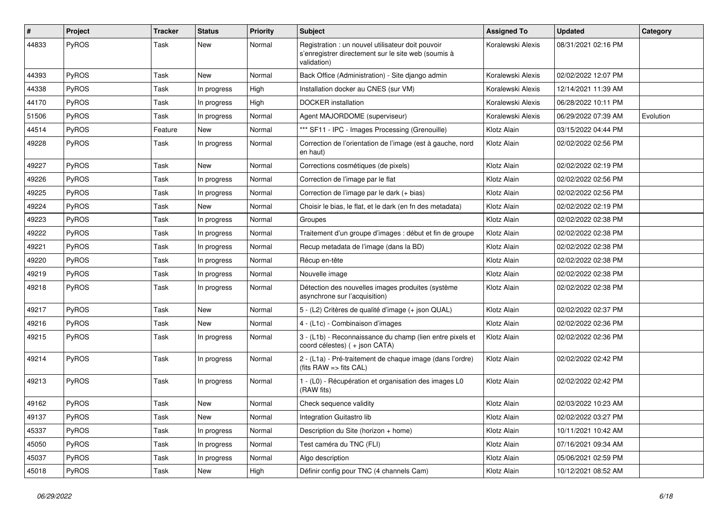| #     | Project      | Tracker | <b>Status</b> | <b>Priority</b> | Subject                                                                                                                 | <b>Assigned To</b> | <b>Updated</b>      | Category  |
|-------|--------------|---------|---------------|-----------------|-------------------------------------------------------------------------------------------------------------------------|--------------------|---------------------|-----------|
| 44833 | PyROS        | Task    | New           | Normal          | Registration : un nouvel utilisateur doit pouvoir<br>s'enregistrer directement sur le site web (soumis à<br>validation) | Koralewski Alexis  | 08/31/2021 02:16 PM |           |
| 44393 | PyROS        | Task    | New           | Normal          | Back Office (Administration) - Site django admin                                                                        | Koralewski Alexis  | 02/02/2022 12:07 PM |           |
| 44338 | PyROS        | Task    | In progress   | High            | Installation docker au CNES (sur VM)                                                                                    | Koralewski Alexis  | 12/14/2021 11:39 AM |           |
| 44170 | PyROS        | Task    | In progress   | High            | <b>DOCKER</b> installation                                                                                              | Koralewski Alexis  | 06/28/2022 10:11 PM |           |
| 51506 | PyROS        | Task    | In progress   | Normal          | Agent MAJORDOME (superviseur)                                                                                           | Koralewski Alexis  | 06/29/2022 07:39 AM | Evolution |
| 44514 | PyROS        | Feature | New           | Normal          | *** SF11 - IPC - Images Processing (Grenouille)                                                                         | Klotz Alain        | 03/15/2022 04:44 PM |           |
| 49228 | PyROS        | Task    | In progress   | Normal          | Correction de l'orientation de l'image (est à gauche, nord<br>en haut)                                                  | Klotz Alain        | 02/02/2022 02:56 PM |           |
| 49227 | PyROS        | Task    | <b>New</b>    | Normal          | Corrections cosmétiques (de pixels)                                                                                     | Klotz Alain        | 02/02/2022 02:19 PM |           |
| 49226 | PyROS        | Task    | In progress   | Normal          | Correction de l'image par le flat                                                                                       | Klotz Alain        | 02/02/2022 02:56 PM |           |
| 49225 | PyROS        | Task    | In progress   | Normal          | Correction de l'image par le dark (+ bias)                                                                              | Klotz Alain        | 02/02/2022 02:56 PM |           |
| 49224 | PyROS        | Task    | <b>New</b>    | Normal          | Choisir le bias, le flat, et le dark (en fn des metadata)                                                               | Klotz Alain        | 02/02/2022 02:19 PM |           |
| 49223 | PyROS        | Task    | In progress   | Normal          | Groupes                                                                                                                 | Klotz Alain        | 02/02/2022 02:38 PM |           |
| 49222 | PyROS        | Task    | In progress   | Normal          | Traitement d'un groupe d'images : début et fin de groupe                                                                | Klotz Alain        | 02/02/2022 02:38 PM |           |
| 49221 | PyROS        | Task    | In progress   | Normal          | Recup metadata de l'image (dans la BD)                                                                                  | Klotz Alain        | 02/02/2022 02:38 PM |           |
| 49220 | PyROS        | Task    | In progress   | Normal          | Récup en-tête                                                                                                           | Klotz Alain        | 02/02/2022 02:38 PM |           |
| 49219 | PyROS        | Task    | In progress   | Normal          | Nouvelle image                                                                                                          | Klotz Alain        | 02/02/2022 02:38 PM |           |
| 49218 | PyROS        | Task    | In progress   | Normal          | Détection des nouvelles images produites (système<br>asynchrone sur l'acquisition)                                      | Klotz Alain        | 02/02/2022 02:38 PM |           |
| 49217 | PyROS        | Task    | <b>New</b>    | Normal          | 5 - (L2) Critères de qualité d'image (+ json QUAL)                                                                      | Klotz Alain        | 02/02/2022 02:37 PM |           |
| 49216 | PyROS        | Task    | <b>New</b>    | Normal          | 4 - (L1c) - Combinaison d'images                                                                                        | Klotz Alain        | 02/02/2022 02:36 PM |           |
| 49215 | <b>PyROS</b> | Task    | In progress   | Normal          | 3 - (L1b) - Reconnaissance du champ (lien entre pixels et<br>coord célestes) ( + json CATA)                             | Klotz Alain        | 02/02/2022 02:36 PM |           |
| 49214 | PyROS        | Task    | In progress   | Normal          | 2 - (L1a) - Pré-traitement de chaque image (dans l'ordre)<br>(fits $RAW \implies$ fits $CAL$ )                          | Klotz Alain        | 02/02/2022 02:42 PM |           |
| 49213 | PyROS        | Task    | In progress   | Normal          | 1 - (L0) - Récupération et organisation des images L0<br>(RAW fits)                                                     | Klotz Alain        | 02/02/2022 02:42 PM |           |
| 49162 | PyROS        | Task    | New           | Normal          | Check sequence validity                                                                                                 | Klotz Alain        | 02/03/2022 10:23 AM |           |
| 49137 | PyROS        | Task    | New           | Normal          | Integration Guitastro lib                                                                                               | Klotz Alain        | 02/02/2022 03:27 PM |           |
| 45337 | PyROS        | Task    | In progress   | Normal          | Description du Site (horizon + home)                                                                                    | Klotz Alain        | 10/11/2021 10:42 AM |           |
| 45050 | PyROS        | Task    | In progress   | Normal          | Test caméra du TNC (FLI)                                                                                                | Klotz Alain        | 07/16/2021 09:34 AM |           |
| 45037 | PyROS        | Task    | In progress   | Normal          | Algo description                                                                                                        | Klotz Alain        | 05/06/2021 02:59 PM |           |
| 45018 | PyROS        | Task    | New           | High            | Définir config pour TNC (4 channels Cam)                                                                                | Klotz Alain        | 10/12/2021 08:52 AM |           |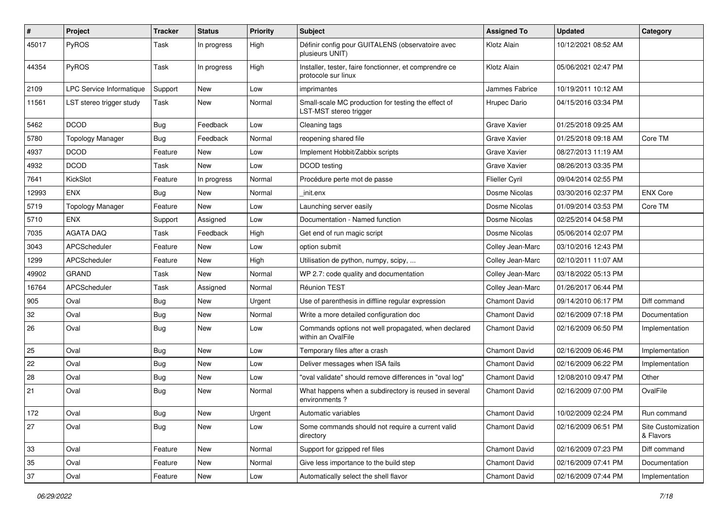| $\sharp$ | Project                  | <b>Tracker</b> | <b>Status</b> | <b>Priority</b> | <b>Subject</b>                                                                | <b>Assigned To</b>   | <b>Updated</b>      | Category                        |
|----------|--------------------------|----------------|---------------|-----------------|-------------------------------------------------------------------------------|----------------------|---------------------|---------------------------------|
| 45017    | PyROS                    | Task           | In progress   | High            | Définir config pour GUITALENS (observatoire avec<br>plusieurs UNIT)           | Klotz Alain          | 10/12/2021 08:52 AM |                                 |
| 44354    | PyROS                    | Task           | In progress   | High            | Installer, tester, faire fonctionner, et comprendre ce<br>protocole sur linux | Klotz Alain          | 05/06/2021 02:47 PM |                                 |
| 2109     | LPC Service Informatique | Support        | <b>New</b>    | Low             | imprimantes                                                                   | Jammes Fabrice       | 10/19/2011 10:12 AM |                                 |
| 11561    | LST stereo trigger study | Task           | New           | Normal          | Small-scale MC production for testing the effect of<br>LST-MST stereo trigger | Hrupec Dario         | 04/15/2016 03:34 PM |                                 |
| 5462     | <b>DCOD</b>              | Bug            | Feedback      | Low             | Cleaning tags                                                                 | Grave Xavier         | 01/25/2018 09:25 AM |                                 |
| 5780     | <b>Topology Manager</b>  | Bug            | Feedback      | Normal          | reopening shared file                                                         | Grave Xavier         | 01/25/2018 09:18 AM | Core TM                         |
| 4937     | <b>DCOD</b>              | Feature        | New           | Low             | Implement Hobbit/Zabbix scripts                                               | <b>Grave Xavier</b>  | 08/27/2013 11:19 AM |                                 |
| 4932     | <b>DCOD</b>              | Task           | New           | Low             | DCOD testing                                                                  | Grave Xavier         | 08/26/2013 03:35 PM |                                 |
| 7641     | KickSlot                 | Feature        | In progress   | Normal          | Procédure perte mot de passe                                                  | Flieller Cyril       | 09/04/2014 02:55 PM |                                 |
| 12993    | ENX                      | <b>Bug</b>     | New           | Normal          | init.enx                                                                      | Dosme Nicolas        | 03/30/2016 02:37 PM | <b>ENX Core</b>                 |
| 5719     | <b>Topology Manager</b>  | Feature        | New           | Low             | Launching server easily                                                       | Dosme Nicolas        | 01/09/2014 03:53 PM | Core TM                         |
| 5710     | <b>ENX</b>               | Support        | Assigned      | Low             | Documentation - Named function                                                | Dosme Nicolas        | 02/25/2014 04:58 PM |                                 |
| 7035     | <b>AGATA DAQ</b>         | Task           | Feedback      | High            | Get end of run magic script                                                   | Dosme Nicolas        | 05/06/2014 02:07 PM |                                 |
| 3043     | APCScheduler             | Feature        | New           | Low             | option submit                                                                 | Colley Jean-Marc     | 03/10/2016 12:43 PM |                                 |
| 1299     | APCScheduler             | Feature        | New           | High            | Utilisation de python, numpy, scipy,                                          | Colley Jean-Marc     | 02/10/2011 11:07 AM |                                 |
| 49902    | <b>GRAND</b>             | Task           | New           | Normal          | WP 2.7: code quality and documentation                                        | Colley Jean-Marc     | 03/18/2022 05:13 PM |                                 |
| 16764    | APCScheduler             | Task           | Assigned      | Normal          | Réunion TEST                                                                  | Colley Jean-Marc     | 01/26/2017 06:44 PM |                                 |
| 905      | Oval                     | <b>Bug</b>     | New           | Urgent          | Use of parenthesis in diffline regular expression                             | Chamont David        | 09/14/2010 06:17 PM | Diff command                    |
| 32       | Oval                     | Bug            | New           | Normal          | Write a more detailed configuration doc                                       | <b>Chamont David</b> | 02/16/2009 07:18 PM | Documentation                   |
| 26       | Oval                     | <b>Bug</b>     | <b>New</b>    | Low             | Commands options not well propagated, when declared<br>within an OvalFile     | Chamont David        | 02/16/2009 06:50 PM | Implementation                  |
| 25       | Oval                     | <b>Bug</b>     | New           | Low             | Temporary files after a crash                                                 | <b>Chamont David</b> | 02/16/2009 06:46 PM | Implementation                  |
| 22       | Oval                     | <b>Bug</b>     | New           | Low             | Deliver messages when ISA fails                                               | <b>Chamont David</b> | 02/16/2009 06:22 PM | Implementation                  |
| 28       | Oval                     | <b>Bug</b>     | <b>New</b>    | Low             | "oval validate" should remove differences in "oval log"                       | <b>Chamont David</b> | 12/08/2010 09:47 PM | Other                           |
| 21       | Oval                     | <b>Bug</b>     | New           | Normal          | What happens when a subdirectory is reused in several<br>environments?        | <b>Chamont David</b> | 02/16/2009 07:00 PM | OvalFile                        |
| 172      | Oval                     | <b>Bug</b>     | New           | Urgent          | Automatic variables                                                           | Chamont David        | 10/02/2009 02:24 PM | Run command                     |
| 27       | Oval                     | <b>Bug</b>     | New           | Low             | Some commands should not require a current valid<br>directory                 | <b>Chamont David</b> | 02/16/2009 06:51 PM | Site Customization<br>& Flavors |
| 33       | Oval                     | Feature        | New           | Normal          | Support for gzipped ref files                                                 | Chamont David        | 02/16/2009 07:23 PM | Diff command                    |
| 35       | Oval                     | Feature        | New           | Normal          | Give less importance to the build step                                        | Chamont David        | 02/16/2009 07:41 PM | Documentation                   |
| 37       | Oval                     | Feature        | New           | Low             | Automatically select the shell flavor                                         | Chamont David        | 02/16/2009 07:44 PM | Implementation                  |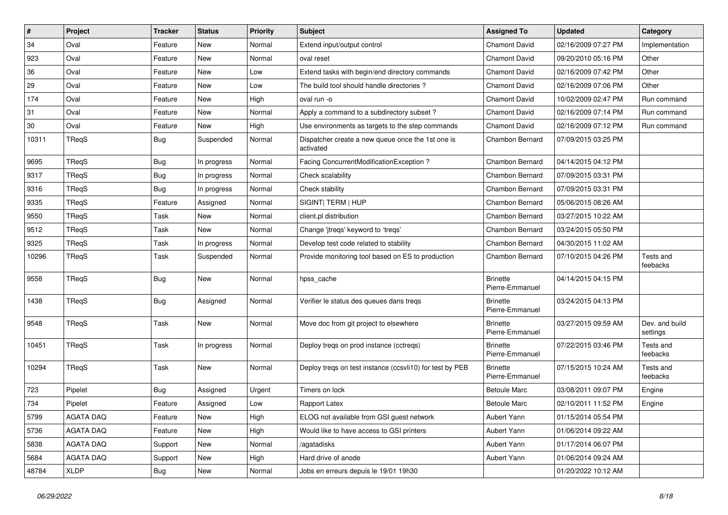| $\sharp$ | Project     | <b>Tracker</b> | <b>Status</b> | <b>Priority</b> | <b>Subject</b>                                                 | <b>Assigned To</b>                 | <b>Updated</b>      | Category                   |
|----------|-------------|----------------|---------------|-----------------|----------------------------------------------------------------|------------------------------------|---------------------|----------------------------|
| 34       | Oval        | Feature        | New           | Normal          | Extend input/output control                                    | Chamont David                      | 02/16/2009 07:27 PM | Implementation             |
| 923      | Oval        | Feature        | <b>New</b>    | Normal          | oval reset                                                     | <b>Chamont David</b>               | 09/20/2010 05:16 PM | Other                      |
| 36       | Oval        | Feature        | <b>New</b>    | Low             | Extend tasks with begin/end directory commands                 | <b>Chamont David</b>               | 02/16/2009 07:42 PM | Other                      |
| 29       | Oval        | Feature        | New           | Low             | The build tool should handle directories?                      | Chamont David                      | 02/16/2009 07:06 PM | Other                      |
| 174      | Oval        | Feature        | <b>New</b>    | High            | oval run -o                                                    | <b>Chamont David</b>               | 10/02/2009 02:47 PM | Run command                |
| 31       | Oval        | Feature        | New           | Normal          | Apply a command to a subdirectory subset?                      | <b>Chamont David</b>               | 02/16/2009 07:14 PM | Run command                |
| $30\,$   | Oval        | Feature        | <b>New</b>    | High            | Use environments as targets to the step commands               | Chamont David                      | 02/16/2009 07:12 PM | Run command                |
| 10311    | TReqS       | Bug            | Suspended     | Normal          | Dispatcher create a new queue once the 1st one is<br>activated | Chambon Bernard                    | 07/09/2015 03:25 PM |                            |
| 9695     | TReqS       | <b>Bug</b>     | In progress   | Normal          | Facing ConcurrentModificationException?                        | Chambon Bernard                    | 04/14/2015 04:12 PM |                            |
| 9317     | TReqS       | Bug            | In progress   | Normal          | Check scalability                                              | Chambon Bernard                    | 07/09/2015 03:31 PM |                            |
| 9316     | TReqS       | <b>Bug</b>     | In progress   | Normal          | Check stability                                                | Chambon Bernard                    | 07/09/2015 03:31 PM |                            |
| 9335     | TReqS       | Feature        | Assigned      | Normal          | SIGINT  TERM   HUP                                             | Chambon Bernard                    | 05/06/2015 08:26 AM |                            |
| 9550     | TReqS       | Task           | New           | Normal          | client.pl distribution                                         | Chambon Bernard                    | 03/27/2015 10:22 AM |                            |
| 9512     | TReqS       | Task           | <b>New</b>    | Normal          | Change 'jtreqs' keyword to 'treqs'                             | Chambon Bernard                    | 03/24/2015 05:50 PM |                            |
| 9325     | TReqS       | Task           | In progress   | Normal          | Develop test code related to stability                         | Chambon Bernard                    | 04/30/2015 11:02 AM |                            |
| 10296    | TReqS       | Task           | Suspended     | Normal          | Provide monitoring tool based on ES to production              | <b>Chambon Bernard</b>             | 07/10/2015 04:26 PM | Tests and<br>feebacks      |
| 9558     | TReqS       | <b>Bug</b>     | New           | Normal          | hpss_cache                                                     | <b>Brinette</b><br>Pierre-Emmanuel | 04/14/2015 04:15 PM |                            |
| 1438     | TReqS       | <b>Bug</b>     | Assigned      | Normal          | Verifier le status des queues dans treqs                       | <b>Brinette</b><br>Pierre-Emmanuel | 03/24/2015 04:13 PM |                            |
| 9548     | TReqS       | Task           | <b>New</b>    | Normal          | Move doc from git project to elsewhere                         | <b>Brinette</b><br>Pierre-Emmanuel | 03/27/2015 09:59 AM | Dev. and build<br>settings |
| 10451    | TReqS       | Task           | In progress   | Normal          | Deploy treqs on prod instance (cctreqs)                        | <b>Brinette</b><br>Pierre-Emmanuel | 07/22/2015 03:46 PM | Tests and<br>feebacks      |
| 10294    | TReqS       | Task           | <b>New</b>    | Normal          | Deploy treqs on test instance (ccsvli10) for test by PEB       | <b>Brinette</b><br>Pierre-Emmanuel | 07/15/2015 10:24 AM | Tests and<br>feebacks      |
| 723      | Pipelet     | <b>Bug</b>     | Assigned      | Urgent          | Timers on lock                                                 | <b>Betoule Marc</b>                | 03/08/2011 09:07 PM | Engine                     |
| 734      | Pipelet     | Feature        | Assigned      | Low             | Rapport Latex                                                  | <b>Betoule Marc</b>                | 02/10/2011 11:52 PM | Engine                     |
| 5799     | AGATA DAQ   | Feature        | New           | High            | ELOG not available from GSI guest network                      | Aubert Yann                        | 01/15/2014 05:54 PM |                            |
| 5736     | AGATA DAQ   | Feature        | New           | High            | Would like to have access to GSI printers                      | Aubert Yann                        | 01/06/2014 09:22 AM |                            |
| 5838     | AGATA DAQ   | Support        | New           | Normal          | /agatadisks                                                    | Aubert Yann                        | 01/17/2014 06:07 PM |                            |
| 5684     | AGATA DAQ   | Support        | New           | High            | Hard drive of anode                                            | Aubert Yann                        | 01/06/2014 09:24 AM |                            |
| 48784    | <b>XLDP</b> | <b>Bug</b>     | New           | Normal          | Jobs en erreurs depuis le 19/01 19h30                          |                                    | 01/20/2022 10:12 AM |                            |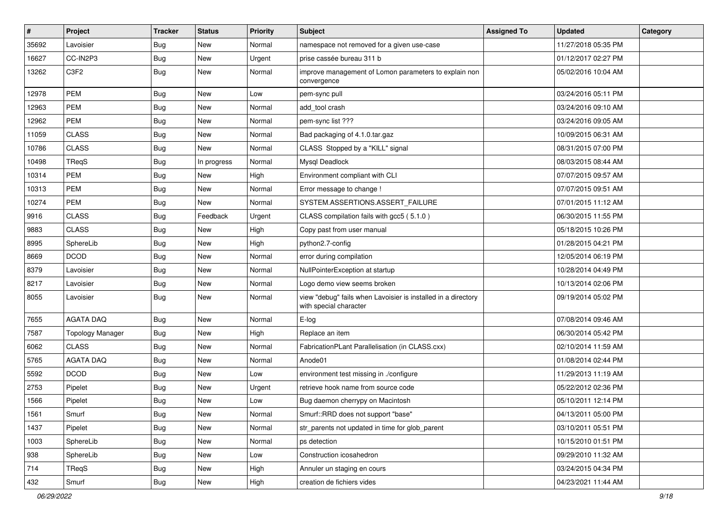| $\vert$ # | Project                 | <b>Tracker</b> | <b>Status</b> | <b>Priority</b> | Subject                                                                                 | <b>Assigned To</b> | <b>Updated</b>      | Category |
|-----------|-------------------------|----------------|---------------|-----------------|-----------------------------------------------------------------------------------------|--------------------|---------------------|----------|
| 35692     | Lavoisier               | <b>Bug</b>     | <b>New</b>    | Normal          | namespace not removed for a given use-case                                              |                    | 11/27/2018 05:35 PM |          |
| 16627     | CC-IN2P3                | <b>Bug</b>     | <b>New</b>    | Urgent          | prise cassée bureau 311 b                                                               |                    | 01/12/2017 02:27 PM |          |
| 13262     | C <sub>3F2</sub>        | <b>Bug</b>     | <b>New</b>    | Normal          | improve management of Lomon parameters to explain non<br>convergence                    |                    | 05/02/2016 10:04 AM |          |
| 12978     | <b>PEM</b>              | <b>Bug</b>     | <b>New</b>    | Low             | pem-sync pull                                                                           |                    | 03/24/2016 05:11 PM |          |
| 12963     | <b>PEM</b>              | <b>Bug</b>     | <b>New</b>    | Normal          | add tool crash                                                                          |                    | 03/24/2016 09:10 AM |          |
| 12962     | <b>PEM</b>              | <b>Bug</b>     | <b>New</b>    | Normal          | pem-sync list ???                                                                       |                    | 03/24/2016 09:05 AM |          |
| 11059     | <b>CLASS</b>            | <b>Bug</b>     | New           | Normal          | Bad packaging of 4.1.0.tar.gaz                                                          |                    | 10/09/2015 06:31 AM |          |
| 10786     | <b>CLASS</b>            | <b>Bug</b>     | <b>New</b>    | Normal          | CLASS Stopped by a "KILL" signal                                                        |                    | 08/31/2015 07:00 PM |          |
| 10498     | TReqS                   | <b>Bug</b>     | In progress   | Normal          | Mysql Deadlock                                                                          |                    | 08/03/2015 08:44 AM |          |
| 10314     | <b>PEM</b>              | <b>Bug</b>     | New           | High            | Environment compliant with CLI                                                          |                    | 07/07/2015 09:57 AM |          |
| 10313     | <b>PEM</b>              | <b>Bug</b>     | <b>New</b>    | Normal          | Error message to change !                                                               |                    | 07/07/2015 09:51 AM |          |
| 10274     | PEM                     | <b>Bug</b>     | New           | Normal          | SYSTEM.ASSERTIONS.ASSERT_FAILURE                                                        |                    | 07/01/2015 11:12 AM |          |
| 9916      | <b>CLASS</b>            | <b>Bug</b>     | Feedback      | Urgent          | CLASS compilation fails with gcc5 (5.1.0)                                               |                    | 06/30/2015 11:55 PM |          |
| 9883      | <b>CLASS</b>            | Bug            | <b>New</b>    | High            | Copy past from user manual                                                              |                    | 05/18/2015 10:26 PM |          |
| 8995      | SphereLib               | <b>Bug</b>     | <b>New</b>    | High            | python2.7-config                                                                        |                    | 01/28/2015 04:21 PM |          |
| 8669      | <b>DCOD</b>             | <b>Bug</b>     | New           | Normal          | error during compilation                                                                |                    | 12/05/2014 06:19 PM |          |
| 8379      | Lavoisier               | <b>Bug</b>     | <b>New</b>    | Normal          | NullPointerException at startup                                                         |                    | 10/28/2014 04:49 PM |          |
| 8217      | Lavoisier               | <b>Bug</b>     | New           | Normal          | Logo demo view seems broken                                                             |                    | 10/13/2014 02:06 PM |          |
| 8055      | Lavoisier               | <b>Bug</b>     | <b>New</b>    | Normal          | view "debug" fails when Lavoisier is installed in a directory<br>with special character |                    | 09/19/2014 05:02 PM |          |
| 7655      | <b>AGATA DAQ</b>        | <b>Bug</b>     | New           | Normal          | E-log                                                                                   |                    | 07/08/2014 09:46 AM |          |
| 7587      | <b>Topology Manager</b> | <b>Bug</b>     | <b>New</b>    | High            | Replace an item                                                                         |                    | 06/30/2014 05:42 PM |          |
| 6062      | <b>CLASS</b>            | <b>Bug</b>     | <b>New</b>    | Normal          | FabricationPLant Parallelisation (in CLASS.cxx)                                         |                    | 02/10/2014 11:59 AM |          |
| 5765      | <b>AGATA DAQ</b>        | <b>Bug</b>     | <b>New</b>    | Normal          | Anode01                                                                                 |                    | 01/08/2014 02:44 PM |          |
| 5592      | <b>DCOD</b>             | <b>Bug</b>     | <b>New</b>    | Low             | environment test missing in ./configure                                                 |                    | 11/29/2013 11:19 AM |          |
| 2753      | Pipelet                 | <b>Bug</b>     | <b>New</b>    | Urgent          | retrieve hook name from source code                                                     |                    | 05/22/2012 02:36 PM |          |
| 1566      | Pipelet                 | Bug            | <b>New</b>    | Low             | Bug daemon cherrypy on Macintosh                                                        |                    | 05/10/2011 12:14 PM |          |
| 1561      | Smurf                   | <b>Bug</b>     | New           | Normal          | Smurf::RRD does not support "base"                                                      |                    | 04/13/2011 05:00 PM |          |
| 1437      | Pipelet                 | <b>Bug</b>     | New           | Normal          | str parents not updated in time for glob parent                                         |                    | 03/10/2011 05:51 PM |          |
| 1003      | SphereLib               | <b>Bug</b>     | New           | Normal          | ps detection                                                                            |                    | 10/15/2010 01:51 PM |          |
| 938       | SphereLib               | <b>Bug</b>     | New           | Low             | Construction icosahedron                                                                |                    | 09/29/2010 11:32 AM |          |
| 714       | TReqS                   | <b>Bug</b>     | New           | High            | Annuler un staging en cours                                                             |                    | 03/24/2015 04:34 PM |          |
| 432       | Smurf                   | <b>Bug</b>     | New           | High            | creation de fichiers vides                                                              |                    | 04/23/2021 11:44 AM |          |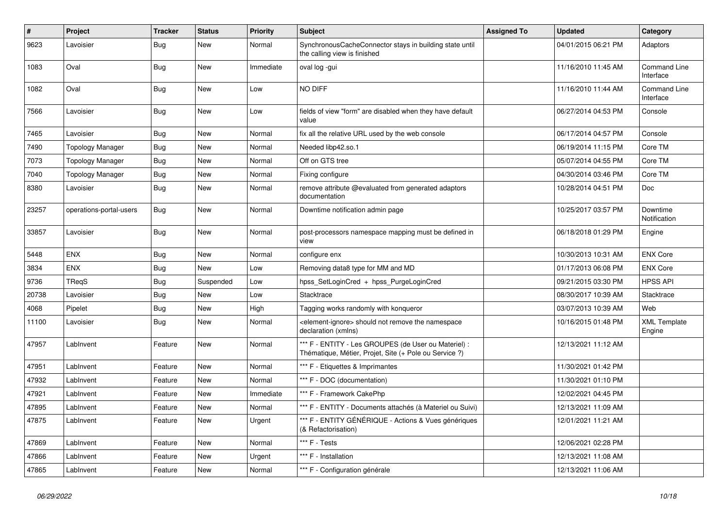| $\vert$ # | Project                 | Tracker    | <b>Status</b> | <b>Priority</b> | <b>Subject</b>                                                                                                 | <b>Assigned To</b> | <b>Updated</b>      | Category                      |
|-----------|-------------------------|------------|---------------|-----------------|----------------------------------------------------------------------------------------------------------------|--------------------|---------------------|-------------------------------|
| 9623      | Lavoisier               | Bug        | New           | Normal          | SynchronousCacheConnector stays in building state until<br>the calling view is finished                        |                    | 04/01/2015 06:21 PM | Adaptors                      |
| 1083      | Oval                    | <b>Bug</b> | New           | Immediate       | oval log -gui                                                                                                  |                    | 11/16/2010 11:45 AM | Command Line<br>Interface     |
| 1082      | Oval                    | <b>Bug</b> | New           | Low             | NO DIFF                                                                                                        |                    | 11/16/2010 11:44 AM | Command Line<br>Interface     |
| 7566      | Lavoisier               | <b>Bug</b> | <b>New</b>    | Low             | fields of view "form" are disabled when they have default<br>value                                             |                    | 06/27/2014 04:53 PM | Console                       |
| 7465      | Lavoisier               | Bug        | <b>New</b>    | Normal          | fix all the relative URL used by the web console                                                               |                    | 06/17/2014 04:57 PM | Console                       |
| 7490      | <b>Topology Manager</b> | <b>Bug</b> | <b>New</b>    | Normal          | Needed libp42.so.1                                                                                             |                    | 06/19/2014 11:15 PM | Core TM                       |
| 7073      | <b>Topology Manager</b> | Bug        | <b>New</b>    | Normal          | Off on GTS tree                                                                                                |                    | 05/07/2014 04:55 PM | Core TM                       |
| 7040      | <b>Topology Manager</b> | Bug        | <b>New</b>    | Normal          | Fixing configure                                                                                               |                    | 04/30/2014 03:46 PM | Core TM                       |
| 8380      | Lavoisier               | Bug        | New           | Normal          | remove attribute @evaluated from generated adaptors<br>documentation                                           |                    | 10/28/2014 04:51 PM | <b>Doc</b>                    |
| 23257     | operations-portal-users | Bug        | New           | Normal          | Downtime notification admin page                                                                               |                    | 10/25/2017 03:57 PM | Downtime<br>Notification      |
| 33857     | Lavoisier               | Bug        | <b>New</b>    | Normal          | post-processors namespace mapping must be defined in<br>view                                                   |                    | 06/18/2018 01:29 PM | Engine                        |
| 5448      | <b>ENX</b>              | Bug        | <b>New</b>    | Normal          | configure enx                                                                                                  |                    | 10/30/2013 10:31 AM | <b>ENX Core</b>               |
| 3834      | <b>ENX</b>              | <b>Bug</b> | New           | Low             | Removing data8 type for MM and MD                                                                              |                    | 01/17/2013 06:08 PM | <b>ENX Core</b>               |
| 9736      | TReqS                   | Bug        | Suspended     | Low             | hpss_SetLoginCred + hpss_PurgeLoginCred                                                                        |                    | 09/21/2015 03:30 PM | <b>HPSS API</b>               |
| 20738     | Lavoisier               | <b>Bug</b> | New           | Low             | Stacktrace                                                                                                     |                    | 08/30/2017 10:39 AM | Stacktrace                    |
| 4068      | Pipelet                 | Bug        | <b>New</b>    | High            | Tagging works randomly with konqueror                                                                          |                    | 03/07/2013 10:39 AM | Web                           |
| 11100     | Lavoisier               | Bug        | New           | Normal          | element-ignore> should not remove the namespace<br>declaration (xmlns)                                         |                    | 10/16/2015 01:48 PM | <b>XML Template</b><br>Engine |
| 47957     | LabInvent               | Feature    | New           | Normal          | *** F - ENTITY - Les GROUPES (de User ou Materiel) :<br>Thématique, Métier, Projet, Site (+ Pole ou Service ?) |                    | 12/13/2021 11:12 AM |                               |
| 47951     | LabInvent               | Feature    | <b>New</b>    | Normal          | *** F - Etiquettes & Imprimantes                                                                               |                    | 11/30/2021 01:42 PM |                               |
| 47932     | LabInvent               | Feature    | New           | Normal          | *** F - DOC (documentation)                                                                                    |                    | 11/30/2021 01:10 PM |                               |
| 47921     | LabInvent               | Feature    | New           | Immediate       | *** F - Framework CakePhp                                                                                      |                    | 12/02/2021 04:45 PM |                               |
| 47895     | LabInvent               | Feature    | New           | Normal          | *** F - ENTITY - Documents attachés (à Materiel ou Suivi)                                                      |                    | 12/13/2021 11:09 AM |                               |
| 47875     | LabInvent               | Feature    | New           | Urgent          | *** F - ENTITY GÉNÉRIQUE - Actions & Vues génériques<br>(& Refactorisation)                                    |                    | 12/01/2021 11:21 AM |                               |
| 47869     | LabInvent               | Feature    | New           | Normal          | *** F - Tests                                                                                                  |                    | 12/06/2021 02:28 PM |                               |
| 47866     | LabInvent               | Feature    | New           | Urgent          | *** F - Installation                                                                                           |                    | 12/13/2021 11:08 AM |                               |
| 47865     | LabInvent               | Feature    | <b>New</b>    | Normal          | *** F - Configuration générale                                                                                 |                    | 12/13/2021 11:06 AM |                               |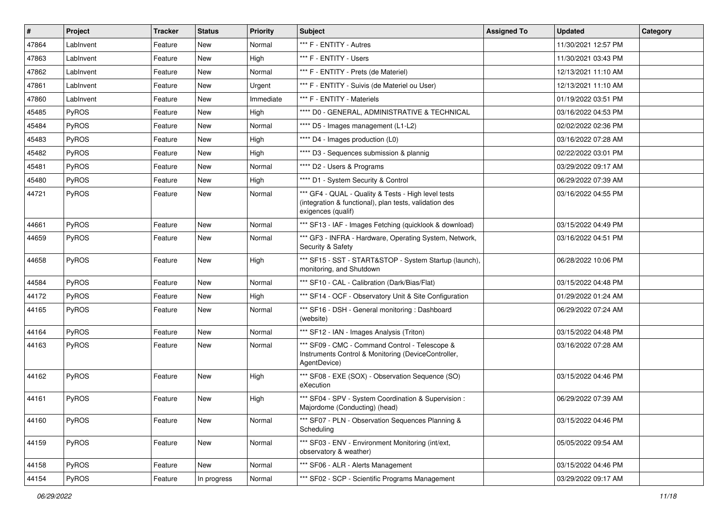| $\sharp$ | Project      | <b>Tracker</b> | <b>Status</b> | <b>Priority</b> | <b>Subject</b>                                                                                                                      | <b>Assigned To</b> | <b>Updated</b>      | Category |
|----------|--------------|----------------|---------------|-----------------|-------------------------------------------------------------------------------------------------------------------------------------|--------------------|---------------------|----------|
| 47864    | LabInvent    | Feature        | New           | Normal          | *** F - ENTITY - Autres                                                                                                             |                    | 11/30/2021 12:57 PM |          |
| 47863    | LabInvent    | Feature        | <b>New</b>    | High            | *** F - ENTITY - Users                                                                                                              |                    | 11/30/2021 03:43 PM |          |
| 47862    | LabInvent    | Feature        | New           | Normal          | *** F - ENTITY - Prets (de Materiel)                                                                                                |                    | 12/13/2021 11:10 AM |          |
| 47861    | LabInvent    | Feature        | New           | Urgent          | *** F - ENTITY - Suivis (de Materiel ou User)                                                                                       |                    | 12/13/2021 11:10 AM |          |
| 47860    | LabInvent    | Feature        | <b>New</b>    | Immediate       | *** F - ENTITY - Materiels                                                                                                          |                    | 01/19/2022 03:51 PM |          |
| 45485    | PyROS        | Feature        | <b>New</b>    | High            | **** D0 - GENERAL, ADMINISTRATIVE & TECHNICAL                                                                                       |                    | 03/16/2022 04:53 PM |          |
| 45484    | PyROS        | Feature        | New           | Normal          | **** D5 - Images management (L1-L2)                                                                                                 |                    | 02/02/2022 02:36 PM |          |
| 45483    | PyROS        | Feature        | New           | High            | **** D4 - Images production (L0)                                                                                                    |                    | 03/16/2022 07:28 AM |          |
| 45482    | PyROS        | Feature        | New           | High            | **** D3 - Sequences submission & plannig                                                                                            |                    | 02/22/2022 03:01 PM |          |
| 45481    | PyROS        | Feature        | New           | Normal          | **** D2 - Users & Programs                                                                                                          |                    | 03/29/2022 09:17 AM |          |
| 45480    | PyROS        | Feature        | New           | High            | **** D1 - System Security & Control                                                                                                 |                    | 06/29/2022 07:39 AM |          |
| 44721    | PyROS        | Feature        | New           | Normal          | *** GF4 - QUAL - Quality & Tests - High level tests<br>(integration & functional), plan tests, validation des<br>exigences (qualif) |                    | 03/16/2022 04:55 PM |          |
| 44661    | PyROS        | Feature        | <b>New</b>    | Normal          | *** SF13 - IAF - Images Fetching (quicklook & download)                                                                             |                    | 03/15/2022 04:49 PM |          |
| 44659    | <b>PyROS</b> | Feature        | New           | Normal          | *** GF3 - INFRA - Hardware, Operating System, Network,<br>Security & Safety                                                         |                    | 03/16/2022 04:51 PM |          |
| 44658    | PyROS        | Feature        | <b>New</b>    | High            | *** SF15 - SST - START&STOP - System Startup (launch),<br>monitoring, and Shutdown                                                  |                    | 06/28/2022 10:06 PM |          |
| 44584    | PyROS        | Feature        | New           | Normal          | *** SF10 - CAL - Calibration (Dark/Bias/Flat)                                                                                       |                    | 03/15/2022 04:48 PM |          |
| 44172    | PyROS        | Feature        | New           | High            | *** SF14 - OCF - Observatory Unit & Site Configuration                                                                              |                    | 01/29/2022 01:24 AM |          |
| 44165    | PyROS        | Feature        | New           | Normal          | *** SF16 - DSH - General monitoring : Dashboard<br>(website)                                                                        |                    | 06/29/2022 07:24 AM |          |
| 44164    | PyROS        | Feature        | New           | Normal          | *** SF12 - IAN - Images Analysis (Triton)                                                                                           |                    | 03/15/2022 04:48 PM |          |
| 44163    | PyROS        | Feature        | New           | Normal          | *** SF09 - CMC - Command Control - Telescope &<br>Instruments Control & Monitoring (DeviceController,<br>AgentDevice)               |                    | 03/16/2022 07:28 AM |          |
| 44162    | PyROS        | Feature        | New           | High            | *** SF08 - EXE (SOX) - Observation Sequence (SO)<br>eXecution                                                                       |                    | 03/15/2022 04:46 PM |          |
| 44161    | PyROS        | Feature        | <b>New</b>    | High            | *** SF04 - SPV - System Coordination & Supervision :<br>Majordome (Conducting) (head)                                               |                    | 06/29/2022 07:39 AM |          |
| 44160    | PyROS        | Feature        | New           | Normal          | *** SF07 - PLN - Observation Sequences Planning &<br>Scheduling                                                                     |                    | 03/15/2022 04:46 PM |          |
| 44159    | PyROS        | Feature        | New           | Normal          | *** SF03 - ENV - Environment Monitoring (int/ext,<br>observatory & weather)                                                         |                    | 05/05/2022 09:54 AM |          |
| 44158    | PyROS        | Feature        | New           | Normal          | *** SF06 - ALR - Alerts Management                                                                                                  |                    | 03/15/2022 04:46 PM |          |
| 44154    | PyROS        | Feature        | In progress   | Normal          | *** SF02 - SCP - Scientific Programs Management                                                                                     |                    | 03/29/2022 09:17 AM |          |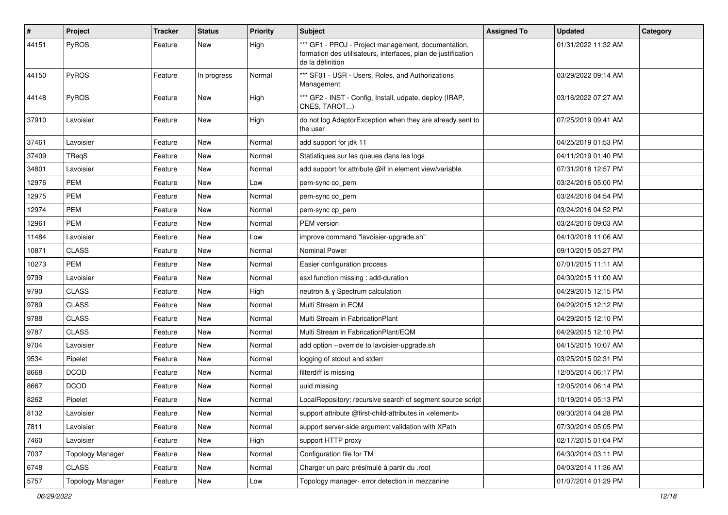| $\sharp$ | Project                 | <b>Tracker</b> | <b>Status</b> | <b>Priority</b> | <b>Subject</b>                                                                                                                           | <b>Assigned To</b> | <b>Updated</b>      | Category |
|----------|-------------------------|----------------|---------------|-----------------|------------------------------------------------------------------------------------------------------------------------------------------|--------------------|---------------------|----------|
| 44151    | PyROS                   | Feature        | New           | High            | *** GF1 - PROJ - Project management, documentation,<br>formation des utilisateurs, interfaces, plan de justification<br>de la définition |                    | 01/31/2022 11:32 AM |          |
| 44150    | PyROS                   | Feature        | In progress   | Normal          | *** SF01 - USR - Users, Roles, and Authorizations<br>Management                                                                          |                    | 03/29/2022 09:14 AM |          |
| 44148    | PyROS                   | Feature        | New           | High            | *** GF2 - INST - Config, Install, udpate, deploy (IRAP,<br>CNES, TAROT)                                                                  |                    | 03/16/2022 07:27 AM |          |
| 37910    | Lavoisier               | Feature        | New           | High            | do not log AdaptorException when they are already sent to<br>the user                                                                    |                    | 07/25/2019 09:41 AM |          |
| 37461    | Lavoisier               | Feature        | New           | Normal          | add support for jdk 11                                                                                                                   |                    | 04/25/2019 01:53 PM |          |
| 37409    | TReqS                   | Feature        | New           | Normal          | Statistiques sur les queues dans les logs                                                                                                |                    | 04/11/2019 01:40 PM |          |
| 34801    | Lavoisier               | Feature        | <b>New</b>    | Normal          | add support for attribute @if in element view/variable                                                                                   |                    | 07/31/2018 12:57 PM |          |
| 12976    | <b>PEM</b>              | Feature        | New           | Low             | pem-sync co_pem                                                                                                                          |                    | 03/24/2016 05:00 PM |          |
| 12975    | <b>PEM</b>              | Feature        | New           | Normal          | pem-sync co_pem                                                                                                                          |                    | 03/24/2016 04:54 PM |          |
| 12974    | <b>PEM</b>              | Feature        | <b>New</b>    | Normal          | pem-sync cp_pem                                                                                                                          |                    | 03/24/2016 04:52 PM |          |
| 12961    | <b>PEM</b>              | Feature        | New           | Normal          | PEM version                                                                                                                              |                    | 03/24/2016 09:03 AM |          |
| 11484    | Lavoisier               | Feature        | <b>New</b>    | Low             | improve command "lavoisier-upgrade.sh"                                                                                                   |                    | 04/10/2018 11:06 AM |          |
| 10871    | <b>CLASS</b>            | Feature        | New           | Normal          | Nominal Power                                                                                                                            |                    | 09/10/2015 05:27 PM |          |
| 10273    | <b>PEM</b>              | Feature        | New           | Normal          | Easier configuration process                                                                                                             |                    | 07/01/2015 11:11 AM |          |
| 9799     | Lavoisier               | Feature        | <b>New</b>    | Normal          | esxl function missing : add-duration                                                                                                     |                    | 04/30/2015 11:00 AM |          |
| 9790     | <b>CLASS</b>            | Feature        | New           | High            | neutron & y Spectrum calculation                                                                                                         |                    | 04/29/2015 12:15 PM |          |
| 9789     | <b>CLASS</b>            | Feature        | <b>New</b>    | Normal          | Multi Stream in EQM                                                                                                                      |                    | 04/29/2015 12:12 PM |          |
| 9788     | <b>CLASS</b>            | Feature        | New           | Normal          | Multi Stream in FabricationPlant                                                                                                         |                    | 04/29/2015 12:10 PM |          |
| 9787     | <b>CLASS</b>            | Feature        | New           | Normal          | Multi Stream in FabricationPlant/EQM                                                                                                     |                    | 04/29/2015 12:10 PM |          |
| 9704     | Lavoisier               | Feature        | <b>New</b>    | Normal          | add option --override to lavoisier-upgrade.sh                                                                                            |                    | 04/15/2015 10:07 AM |          |
| 9534     | Pipelet                 | Feature        | <b>New</b>    | Normal          | logging of stdout and stderr                                                                                                             |                    | 03/25/2015 02:31 PM |          |
| 8668     | <b>DCOD</b>             | Feature        | New           | Normal          | filterdiff is missing                                                                                                                    |                    | 12/05/2014 06:17 PM |          |
| 8667     | <b>DCOD</b>             | Feature        | <b>New</b>    | Normal          | uuid missing                                                                                                                             |                    | 12/05/2014 06:14 PM |          |
| 8262     | Pipelet                 | Feature        | New           | Normal          | LocalRepository: recursive search of segment source script                                                                               |                    | 10/19/2014 05:13 PM |          |
| 8132     | Lavoisier               | Feature        | New           | Normal          | support attribute @first-child-attributes in <element></element>                                                                         |                    | 09/30/2014 04:28 PM |          |
| 7811     | Lavoisier               | Feature        | New           | Normal          | support server-side argument validation with XPath                                                                                       |                    | 07/30/2014 05:05 PM |          |
| 7460     | Lavoisier               | Feature        | New           | High            | support HTTP proxy                                                                                                                       |                    | 02/17/2015 01:04 PM |          |
| 7037     | <b>Topology Manager</b> | Feature        | New           | Normal          | Configuration file for TM                                                                                                                |                    | 04/30/2014 03:11 PM |          |
| 6748     | <b>CLASS</b>            | Feature        | New           | Normal          | Charger un parc présimulé à partir du .root                                                                                              |                    | 04/03/2014 11:36 AM |          |
| 5757     | <b>Topology Manager</b> | Feature        | New           | Low             | Topology manager- error detection in mezzanine                                                                                           |                    | 01/07/2014 01:29 PM |          |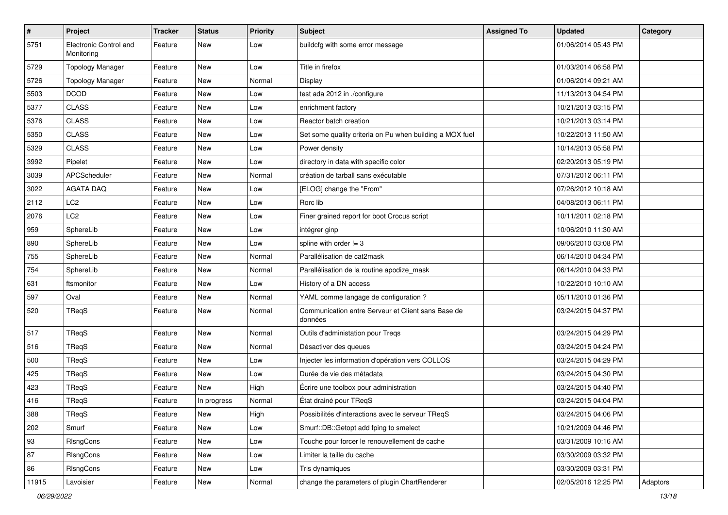| $\sharp$ | Project                              | <b>Tracker</b> | <b>Status</b> | <b>Priority</b> | <b>Subject</b>                                                | <b>Assigned To</b> | <b>Updated</b>      | Category |
|----------|--------------------------------------|----------------|---------------|-----------------|---------------------------------------------------------------|--------------------|---------------------|----------|
| 5751     | Electronic Control and<br>Monitoring | Feature        | New           | Low             | buildcfg with some error message                              |                    | 01/06/2014 05:43 PM |          |
| 5729     | <b>Topology Manager</b>              | Feature        | <b>New</b>    | Low             | Title in firefox                                              |                    | 01/03/2014 06:58 PM |          |
| 5726     | <b>Topology Manager</b>              | Feature        | New           | Normal          | Display                                                       |                    | 01/06/2014 09:21 AM |          |
| 5503     | <b>DCOD</b>                          | Feature        | New           | Low             | test ada 2012 in ./configure                                  |                    | 11/13/2013 04:54 PM |          |
| 5377     | <b>CLASS</b>                         | Feature        | New           | Low             | enrichment factory                                            |                    | 10/21/2013 03:15 PM |          |
| 5376     | <b>CLASS</b>                         | Feature        | New           | Low             | Reactor batch creation                                        |                    | 10/21/2013 03:14 PM |          |
| 5350     | <b>CLASS</b>                         | Feature        | New           | Low             | Set some quality criteria on Pu when building a MOX fuel      |                    | 10/22/2013 11:50 AM |          |
| 5329     | <b>CLASS</b>                         | Feature        | New           | Low             | Power density                                                 |                    | 10/14/2013 05:58 PM |          |
| 3992     | Pipelet                              | Feature        | New           | Low             | directory in data with specific color                         |                    | 02/20/2013 05:19 PM |          |
| 3039     | APCScheduler                         | Feature        | New           | Normal          | création de tarball sans exécutable                           |                    | 07/31/2012 06:11 PM |          |
| 3022     | <b>AGATA DAQ</b>                     | Feature        | <b>New</b>    | Low             | [ELOG] change the "From"                                      |                    | 07/26/2012 10:18 AM |          |
| 2112     | LC <sub>2</sub>                      | Feature        | New           | Low             | Rorc lib                                                      |                    | 04/08/2013 06:11 PM |          |
| 2076     | LC <sub>2</sub>                      | Feature        | New           | Low             | Finer grained report for boot Crocus script                   |                    | 10/11/2011 02:18 PM |          |
| 959      | SphereLib                            | Feature        | <b>New</b>    | Low             | intégrer ginp                                                 |                    | 10/06/2010 11:30 AM |          |
| 890      | SphereLib                            | Feature        | New           | Low             | spline with order $!= 3$                                      |                    | 09/06/2010 03:08 PM |          |
| 755      | SphereLib                            | Feature        | New           | Normal          | Parallélisation de cat2mask                                   |                    | 06/14/2010 04:34 PM |          |
| 754      | SphereLib                            | Feature        | New           | Normal          | Parallélisation de la routine apodize_mask                    |                    | 06/14/2010 04:33 PM |          |
| 631      | ftsmonitor                           | Feature        | New           | Low             | History of a DN access                                        |                    | 10/22/2010 10:10 AM |          |
| 597      | Oval                                 | Feature        | <b>New</b>    | Normal          | YAML comme langage de configuration ?                         |                    | 05/11/2010 01:36 PM |          |
| 520      | TReqS                                | Feature        | New           | Normal          | Communication entre Serveur et Client sans Base de<br>données |                    | 03/24/2015 04:37 PM |          |
| 517      | TReqS                                | Feature        | <b>New</b>    | Normal          | Outils d'administation pour Treqs                             |                    | 03/24/2015 04:29 PM |          |
| 516      | TReqS                                | Feature        | <b>New</b>    | Normal          | Désactiver des queues                                         |                    | 03/24/2015 04:24 PM |          |
| 500      | TReqS                                | Feature        | New           | Low             | Injecter les information d'opération vers COLLOS              |                    | 03/24/2015 04:29 PM |          |
| 425      | TReqS                                | Feature        | New           | Low             | Durée de vie des métadata                                     |                    | 03/24/2015 04:30 PM |          |
| 423      | TReqS                                | Feature        | New           | High            | Écrire une toolbox pour administration                        |                    | 03/24/2015 04:40 PM |          |
| 416      | TReqS                                | Feature        | In progress   | Normal          | État drainé pour TReqS                                        |                    | 03/24/2015 04:04 PM |          |
| 388      | TReqS                                | Feature        | New           | High            | Possibilités d'interactions avec le serveur TReqS             |                    | 03/24/2015 04:06 PM |          |
| 202      | Smurf                                | Feature        | New           | Low             | Smurf::DB::Getopt add fping to smelect                        |                    | 10/21/2009 04:46 PM |          |
| 93       | RIsngCons                            | Feature        | New           | Low             | Touche pour forcer le renouvellement de cache                 |                    | 03/31/2009 10:16 AM |          |
| 87       | RIsngCons                            | Feature        | New           | Low             | Limiter la taille du cache                                    |                    | 03/30/2009 03:32 PM |          |
| 86       | RIsngCons                            | Feature        | New           | Low             | Tris dynamiques                                               |                    | 03/30/2009 03:31 PM |          |
| 11915    | Lavoisier                            | Feature        | New           | Normal          | change the parameters of plugin ChartRenderer                 |                    | 02/05/2016 12:25 PM | Adaptors |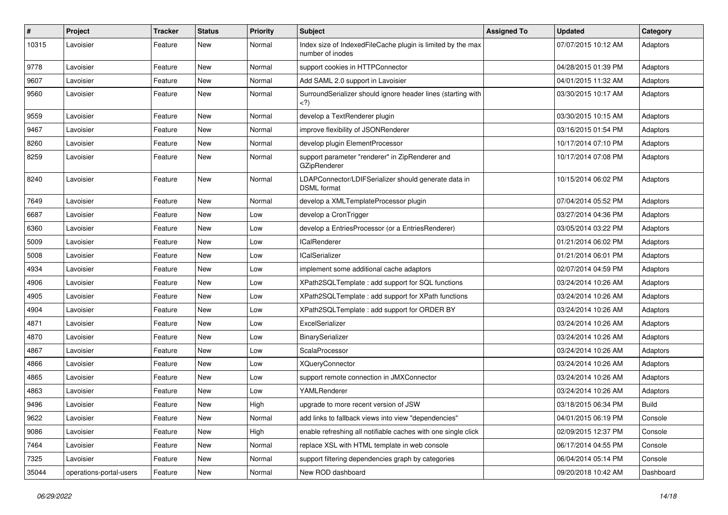| $\pmb{\#}$ | Project                 | <b>Tracker</b> | <b>Status</b> | <b>Priority</b> | Subject                                                                                                                        | <b>Assigned To</b> | <b>Updated</b>      | Category     |
|------------|-------------------------|----------------|---------------|-----------------|--------------------------------------------------------------------------------------------------------------------------------|--------------------|---------------------|--------------|
| 10315      | Lavoisier               | Feature        | New           | Normal          | Index size of IndexedFileCache plugin is limited by the max<br>number of inodes                                                |                    | 07/07/2015 10:12 AM | Adaptors     |
| 9778       | Lavoisier               | Feature        | New           | Normal          | support cookies in HTTPConnector                                                                                               |                    | 04/28/2015 01:39 PM | Adaptors     |
| 9607       | Lavoisier               | Feature        | New           | Normal          | Add SAML 2.0 support in Lavoisier                                                                                              |                    | 04/01/2015 11:32 AM | Adaptors     |
| 9560       | Lavoisier               | Feature        | <b>New</b>    | Normal          | SurroundSerializer should ignore header lines (starting with<br>)</td <td></td> <td>03/30/2015 10:17 AM</td> <td>Adaptors</td> |                    | 03/30/2015 10:17 AM | Adaptors     |
| 9559       | Lavoisier               | Feature        | New           | Normal          | develop a TextRenderer plugin                                                                                                  |                    | 03/30/2015 10:15 AM | Adaptors     |
| 9467       | Lavoisier               | Feature        | New           | Normal          | improve flexibility of JSONRenderer                                                                                            |                    | 03/16/2015 01:54 PM | Adaptors     |
| 8260       | Lavoisier               | Feature        | New           | Normal          | develop plugin ElementProcessor                                                                                                |                    | 10/17/2014 07:10 PM | Adaptors     |
| 8259       | Lavoisier               | Feature        | New           | Normal          | support parameter "renderer" in ZipRenderer and<br>GZipRenderer                                                                |                    | 10/17/2014 07:08 PM | Adaptors     |
| 8240       | Lavoisier               | Feature        | New           | Normal          | LDAPConnector/LDIFSerializer should generate data in<br><b>DSML</b> format                                                     |                    | 10/15/2014 06:02 PM | Adaptors     |
| 7649       | Lavoisier               | Feature        | New           | Normal          | develop a XMLTemplateProcessor plugin                                                                                          |                    | 07/04/2014 05:52 PM | Adaptors     |
| 6687       | Lavoisier               | Feature        | New           | Low             | develop a CronTrigger                                                                                                          |                    | 03/27/2014 04:36 PM | Adaptors     |
| 6360       | Lavoisier               | Feature        | New           | Low             | develop a EntriesProcessor (or a EntriesRenderer)                                                                              |                    | 03/05/2014 03:22 PM | Adaptors     |
| 5009       | Lavoisier               | Feature        | New           | Low             | <b>ICalRenderer</b>                                                                                                            |                    | 01/21/2014 06:02 PM | Adaptors     |
| 5008       | Lavoisier               | Feature        | New           | Low             | <b>ICalSerializer</b>                                                                                                          |                    | 01/21/2014 06:01 PM | Adaptors     |
| 4934       | Lavoisier               | Feature        | New           | Low             | implement some additional cache adaptors                                                                                       |                    | 02/07/2014 04:59 PM | Adaptors     |
| 4906       | Lavoisier               | Feature        | New           | Low             | XPath2SQLTemplate: add support for SQL functions                                                                               |                    | 03/24/2014 10:26 AM | Adaptors     |
| 4905       | Lavoisier               | Feature        | New           | Low             | XPath2SQLTemplate : add support for XPath functions                                                                            |                    | 03/24/2014 10:26 AM | Adaptors     |
| 4904       | Lavoisier               | Feature        | New           | Low             | XPath2SQLTemplate : add support for ORDER BY                                                                                   |                    | 03/24/2014 10:26 AM | Adaptors     |
| 4871       | Lavoisier               | Feature        | New           | Low             | ExcelSerializer                                                                                                                |                    | 03/24/2014 10:26 AM | Adaptors     |
| 4870       | Lavoisier               | Feature        | New           | Low             | BinarySerializer                                                                                                               |                    | 03/24/2014 10:26 AM | Adaptors     |
| 4867       | Lavoisier               | Feature        | New           | Low             | ScalaProcessor                                                                                                                 |                    | 03/24/2014 10:26 AM | Adaptors     |
| 4866       | Lavoisier               | Feature        | <b>New</b>    | Low             | <b>XQueryConnector</b>                                                                                                         |                    | 03/24/2014 10:26 AM | Adaptors     |
| 4865       | Lavoisier               | Feature        | New           | Low             | support remote connection in JMXConnector                                                                                      |                    | 03/24/2014 10:26 AM | Adaptors     |
| 4863       | Lavoisier               | Feature        | New           | Low             | YAMLRenderer                                                                                                                   |                    | 03/24/2014 10:26 AM | Adaptors     |
| 9496       | Lavoisier               | Feature        | New           | High            | upgrade to more recent version of JSW                                                                                          |                    | 03/18/2015 06:34 PM | <b>Build</b> |
| 9622       | Lavoisier               | Feature        | New           | Normal          | add links to fallback views into view "dependencies"                                                                           |                    | 04/01/2015 06:19 PM | Console      |
| 9086       | Lavoisier               | Feature        | New           | High            | enable refreshing all notifiable caches with one single click                                                                  |                    | 02/09/2015 12:37 PM | Console      |
| 7464       | Lavoisier               | Feature        | New           | Normal          | replace XSL with HTML template in web console                                                                                  |                    | 06/17/2014 04:55 PM | Console      |
| 7325       | Lavoisier               | Feature        | New           | Normal          | support filtering dependencies graph by categories                                                                             |                    | 06/04/2014 05:14 PM | Console      |
| 35044      | operations-portal-users | Feature        | New           | Normal          | New ROD dashboard                                                                                                              |                    | 09/20/2018 10:42 AM | Dashboard    |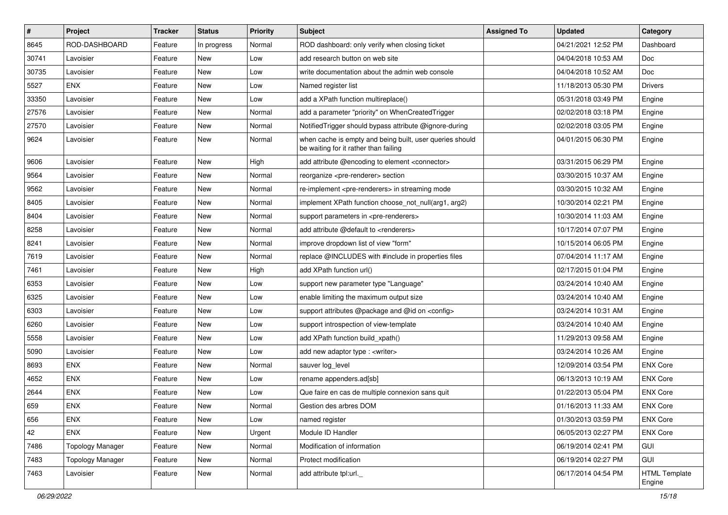| $\pmb{\#}$ | <b>Project</b>          | <b>Tracker</b> | <b>Status</b> | <b>Priority</b> | <b>Subject</b>                                                                                    | <b>Assigned To</b> | <b>Updated</b>      | Category                       |
|------------|-------------------------|----------------|---------------|-----------------|---------------------------------------------------------------------------------------------------|--------------------|---------------------|--------------------------------|
| 8645       | ROD-DASHBOARD           | Feature        | In progress   | Normal          | ROD dashboard: only verify when closing ticket                                                    |                    | 04/21/2021 12:52 PM | Dashboard                      |
| 30741      | Lavoisier               | Feature        | New           | Low             | add research button on web site                                                                   |                    | 04/04/2018 10:53 AM | <b>Doc</b>                     |
| 30735      | Lavoisier               | Feature        | New           | Low             | write documentation about the admin web console                                                   |                    | 04/04/2018 10:52 AM | Doc                            |
| 5527       | <b>ENX</b>              | Feature        | New           | Low             | Named register list                                                                               |                    | 11/18/2013 05:30 PM | <b>Drivers</b>                 |
| 33350      | Lavoisier               | Feature        | New           | Low             | add a XPath function multireplace()                                                               |                    | 05/31/2018 03:49 PM | Engine                         |
| 27576      | Lavoisier               | Feature        | New           | Normal          | add a parameter "priority" on WhenCreatedTrigger                                                  |                    | 02/02/2018 03:18 PM | Engine                         |
| 27570      | Lavoisier               | Feature        | <b>New</b>    | Normal          | NotifiedTrigger should bypass attribute @ignore-during                                            |                    | 02/02/2018 03:05 PM | Engine                         |
| 9624       | Lavoisier               | Feature        | New           | Normal          | when cache is empty and being built, user queries should<br>be waiting for it rather than failing |                    | 04/01/2015 06:30 PM | Engine                         |
| 9606       | Lavoisier               | Feature        | <b>New</b>    | High            | add attribute @encoding to element <connector></connector>                                        |                    | 03/31/2015 06:29 PM | Engine                         |
| 9564       | Lavoisier               | Feature        | New           | Normal          | reorganize <pre-renderer> section</pre-renderer>                                                  |                    | 03/30/2015 10:37 AM | Engine                         |
| 9562       | Lavoisier               | Feature        | New           | Normal          | re-implement <pre-renderers> in streaming mode</pre-renderers>                                    |                    | 03/30/2015 10:32 AM | Engine                         |
| 8405       | Lavoisier               | Feature        | New           | Normal          | implement XPath function choose_not_null(arg1, arg2)                                              |                    | 10/30/2014 02:21 PM | Engine                         |
| 8404       | Lavoisier               | Feature        | New           | Normal          | support parameters in <pre-renderers></pre-renderers>                                             |                    | 10/30/2014 11:03 AM | Engine                         |
| 8258       | Lavoisier               | Feature        | New           | Normal          | add attribute @default to <renderers></renderers>                                                 |                    | 10/17/2014 07:07 PM | Engine                         |
| 8241       | Lavoisier               | Feature        | New           | Normal          | improve dropdown list of view "form"                                                              |                    | 10/15/2014 06:05 PM | Engine                         |
| 7619       | Lavoisier               | Feature        | New           | Normal          | replace @INCLUDES with #include in properties files                                               |                    | 07/04/2014 11:17 AM | Engine                         |
| 7461       | Lavoisier               | Feature        | New           | High            | add XPath function url()                                                                          |                    | 02/17/2015 01:04 PM | Engine                         |
| 6353       | Lavoisier               | Feature        | New           | Low             | support new parameter type "Language"                                                             |                    | 03/24/2014 10:40 AM | Engine                         |
| 6325       | Lavoisier               | Feature        | New           | Low             | enable limiting the maximum output size                                                           |                    | 03/24/2014 10:40 AM | Engine                         |
| 6303       | Lavoisier               | Feature        | New           | Low             | support attributes @package and @id on <config></config>                                          |                    | 03/24/2014 10:31 AM | Engine                         |
| 6260       | Lavoisier               | Feature        | New           | Low             | support introspection of view-template                                                            |                    | 03/24/2014 10:40 AM | Engine                         |
| 5558       | Lavoisier               | Feature        | New           | Low             | add XPath function build_xpath()                                                                  |                    | 11/29/2013 09:58 AM | Engine                         |
| 5090       | Lavoisier               | Feature        | New           | Low             | add new adaptor type : <writer></writer>                                                          |                    | 03/24/2014 10:26 AM | Engine                         |
| 8693       | <b>ENX</b>              | Feature        | New           | Normal          | sauver log level                                                                                  |                    | 12/09/2014 03:54 PM | <b>ENX Core</b>                |
| 4652       | <b>ENX</b>              | Feature        | New           | Low             | rename appenders.ad[sb]                                                                           |                    | 06/13/2013 10:19 AM | <b>ENX Core</b>                |
| 2644       | <b>ENX</b>              | Feature        | New           | Low             | Que faire en cas de multiple connexion sans quit                                                  |                    | 01/22/2013 05:04 PM | <b>ENX Core</b>                |
| 659        | <b>ENX</b>              | Feature        | New           | Normal          | Gestion des arbres DOM                                                                            |                    | 01/16/2013 11:33 AM | <b>ENX Core</b>                |
| 656        | <b>ENX</b>              | Feature        | New           | Low             | named register                                                                                    |                    | 01/30/2013 03:59 PM | <b>ENX Core</b>                |
| 42         | <b>ENX</b>              | Feature        | New           | Urgent          | Module ID Handler                                                                                 |                    | 06/05/2013 02:27 PM | <b>ENX Core</b>                |
| 7486       | <b>Topology Manager</b> | Feature        | New           | Normal          | Modification of information                                                                       |                    | 06/19/2014 02:41 PM | <b>GUI</b>                     |
| 7483       | <b>Topology Manager</b> | Feature        | New           | Normal          | Protect modification                                                                              |                    | 06/19/2014 02:27 PM | <b>GUI</b>                     |
| 7463       | Lavoisier               | Feature        | New           | Normal          | add attribute tpl:url.                                                                            |                    | 06/17/2014 04:54 PM | <b>HTML Template</b><br>Engine |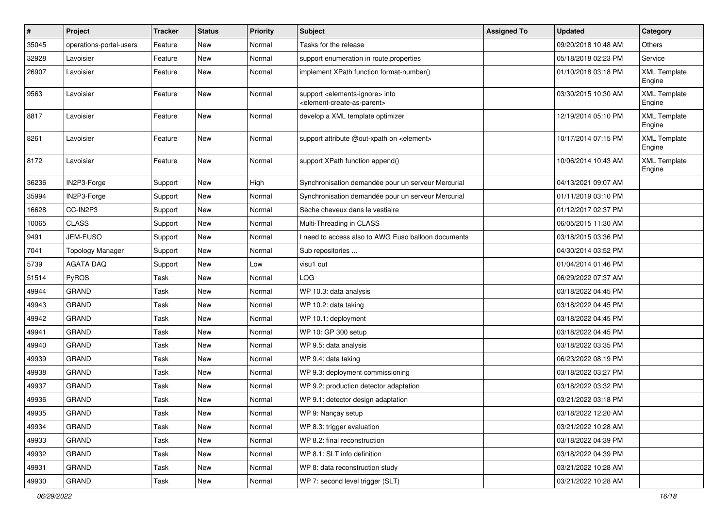| $\sharp$ | Project                 | <b>Tracker</b> | <b>Status</b> | <b>Priority</b> | Subject                                                                                                    | <b>Assigned To</b> | <b>Updated</b>      | Category                      |
|----------|-------------------------|----------------|---------------|-----------------|------------------------------------------------------------------------------------------------------------|--------------------|---------------------|-------------------------------|
| 35045    | operations-portal-users | Feature        | New           | Normal          | Tasks for the release                                                                                      |                    | 09/20/2018 10:48 AM | Others                        |
| 32928    | Lavoisier               | Feature        | <b>New</b>    | Normal          | support enumeration in route.properties                                                                    |                    | 05/18/2018 02:23 PM | Service                       |
| 26907    | Lavoisier               | Feature        | New           | Normal          | implement XPath function format-number()                                                                   |                    | 01/10/2018 03:18 PM | <b>XML Template</b><br>Engine |
| 9563     | Lavoisier               | Feature        | <b>New</b>    | Normal          | support <elements-ignore> into<br/><element-create-as-parent></element-create-as-parent></elements-ignore> |                    | 03/30/2015 10:30 AM | <b>XML Template</b><br>Engine |
| 8817     | Lavoisier               | Feature        | New           | Normal          | develop a XML template optimizer                                                                           |                    | 12/19/2014 05:10 PM | <b>XML Template</b><br>Engine |
| 8261     | Lavoisier               | Feature        | New           | Normal          | support attribute @out-xpath on <element></element>                                                        |                    | 10/17/2014 07:15 PM | <b>XML Template</b><br>Engine |
| 8172     | Lavoisier               | Feature        | <b>New</b>    | Normal          | support XPath function append()                                                                            |                    | 10/06/2014 10:43 AM | <b>XML Template</b><br>Engine |
| 36236    | IN2P3-Forge             | Support        | <b>New</b>    | High            | Synchronisation demandée pour un serveur Mercurial                                                         |                    | 04/13/2021 09:07 AM |                               |
| 35994    | IN2P3-Forge             | Support        | New           | Normal          | Synchronisation demandée pour un serveur Mercurial                                                         |                    | 01/11/2019 03:10 PM |                               |
| 16628    | CC-IN2P3                | Support        | New           | Normal          | Sèche cheveux dans le vestiaire                                                                            |                    | 01/12/2017 02:37 PM |                               |
| 10065    | <b>CLASS</b>            | Support        | New           | Normal          | Multi-Threading in CLASS                                                                                   |                    | 06/05/2015 11:30 AM |                               |
| 9491     | JEM-EUSO                | Support        | New           | Normal          | I need to access also to AWG Euso balloon documents                                                        |                    | 03/18/2015 03:36 PM |                               |
| 7041     | <b>Topology Manager</b> | Support        | <b>New</b>    | Normal          | Sub repositories                                                                                           |                    | 04/30/2014 03:52 PM |                               |
| 5739     | AGATA DAQ               | Support        | New           | Low             | visu1 out                                                                                                  |                    | 01/04/2014 01:46 PM |                               |
| 51514    | PyROS                   | Task           | <b>New</b>    | Normal          | LOG                                                                                                        |                    | 06/29/2022 07:37 AM |                               |
| 49944    | GRAND                   | Task           | <b>New</b>    | Normal          | WP 10.3: data analysis                                                                                     |                    | 03/18/2022 04:45 PM |                               |
| 49943    | <b>GRAND</b>            | Task           | <b>New</b>    | Normal          | WP 10.2: data taking                                                                                       |                    | 03/18/2022 04:45 PM |                               |
| 49942    | <b>GRAND</b>            | Task           | <b>New</b>    | Normal          | WP 10.1: deployment                                                                                        |                    | 03/18/2022 04:45 PM |                               |
| 49941    | <b>GRAND</b>            | Task           | <b>New</b>    | Normal          | WP 10: GP 300 setup                                                                                        |                    | 03/18/2022 04:45 PM |                               |
| 49940    | <b>GRAND</b>            | Task           | <b>New</b>    | Normal          | WP 9.5: data analysis                                                                                      |                    | 03/18/2022 03:35 PM |                               |
| 49939    | GRAND                   | Task           | <b>New</b>    | Normal          | WP 9.4: data taking                                                                                        |                    | 06/23/2022 08:19 PM |                               |
| 49938    | <b>GRAND</b>            | Task           | <b>New</b>    | Normal          | WP 9.3: deployment commissioning                                                                           |                    | 03/18/2022 03:27 PM |                               |
| 49937    | GRAND                   | Task           | <b>New</b>    | Normal          | WP 9.2: production detector adaptation                                                                     |                    | 03/18/2022 03:32 PM |                               |
| 49936    | GRAND                   | Task           | New           | Normal          | WP 9.1: detector design adaptation                                                                         |                    | 03/21/2022 03:18 PM |                               |
| 49935    | GRAND                   | Task           | New           | Normal          | WP 9: Nançay setup                                                                                         |                    | 03/18/2022 12:20 AM |                               |
| 49934    | <b>GRAND</b>            | Task           | New           | Normal          | WP 8.3: trigger evaluation                                                                                 |                    | 03/21/2022 10:28 AM |                               |
| 49933    | <b>GRAND</b>            | Task           | New           | Normal          | WP 8.2: final reconstruction                                                                               |                    | 03/18/2022 04:39 PM |                               |
| 49932    | <b>GRAND</b>            | Task           | New           | Normal          | WP 8.1: SLT info definition                                                                                |                    | 03/18/2022 04:39 PM |                               |
| 49931    | GRAND                   | Task           | New           | Normal          | WP 8: data reconstruction study                                                                            |                    | 03/21/2022 10:28 AM |                               |
| 49930    | GRAND                   | Task           | New           | Normal          | WP 7: second level trigger (SLT)                                                                           |                    | 03/21/2022 10:28 AM |                               |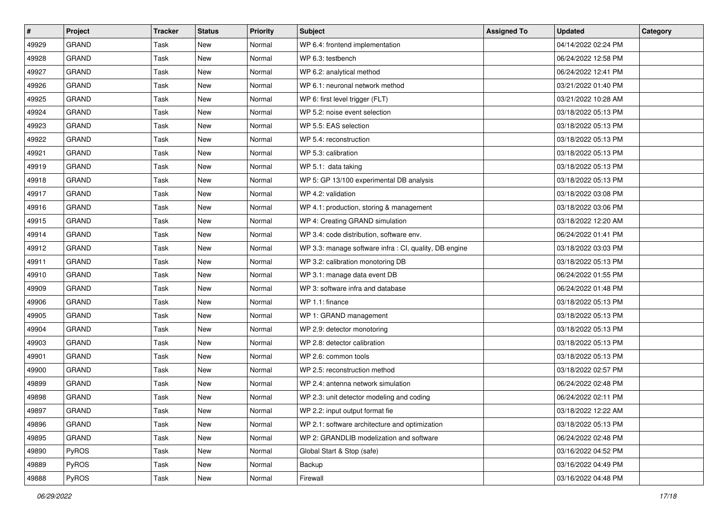| $\vert$ # | Project      | <b>Tracker</b> | <b>Status</b> | <b>Priority</b> | Subject                                                | <b>Assigned To</b> | <b>Updated</b>      | Category |
|-----------|--------------|----------------|---------------|-----------------|--------------------------------------------------------|--------------------|---------------------|----------|
| 49929     | <b>GRAND</b> | Task           | <b>New</b>    | Normal          | WP 6.4: frontend implementation                        |                    | 04/14/2022 02:24 PM |          |
| 49928     | <b>GRAND</b> | Task           | New           | Normal          | WP 6.3: testbench                                      |                    | 06/24/2022 12:58 PM |          |
| 49927     | <b>GRAND</b> | Task           | New           | Normal          | WP 6.2: analytical method                              |                    | 06/24/2022 12:41 PM |          |
| 49926     | <b>GRAND</b> | Task           | <b>New</b>    | Normal          | WP 6.1: neuronal network method                        |                    | 03/21/2022 01:40 PM |          |
| 49925     | <b>GRAND</b> | Task           | <b>New</b>    | Normal          | WP 6: first level trigger (FLT)                        |                    | 03/21/2022 10:28 AM |          |
| 49924     | <b>GRAND</b> | Task           | <b>New</b>    | Normal          | WP 5.2: noise event selection                          |                    | 03/18/2022 05:13 PM |          |
| 49923     | <b>GRAND</b> | Task           | <b>New</b>    | Normal          | WP 5.5: EAS selection                                  |                    | 03/18/2022 05:13 PM |          |
| 49922     | <b>GRAND</b> | Task           | <b>New</b>    | Normal          | WP 5.4: reconstruction                                 |                    | 03/18/2022 05:13 PM |          |
| 49921     | <b>GRAND</b> | Task           | New           | Normal          | WP 5.3: calibration                                    |                    | 03/18/2022 05:13 PM |          |
| 49919     | <b>GRAND</b> | Task           | <b>New</b>    | Normal          | WP 5.1: data taking                                    |                    | 03/18/2022 05:13 PM |          |
| 49918     | <b>GRAND</b> | Task           | New           | Normal          | WP 5: GP 13/100 experimental DB analysis               |                    | 03/18/2022 05:13 PM |          |
| 49917     | <b>GRAND</b> | Task           | <b>New</b>    | Normal          | WP 4.2: validation                                     |                    | 03/18/2022 03:08 PM |          |
| 49916     | <b>GRAND</b> | Task           | New           | Normal          | WP 4.1: production, storing & management               |                    | 03/18/2022 03:06 PM |          |
| 49915     | <b>GRAND</b> | Task           | <b>New</b>    | Normal          | WP 4: Creating GRAND simulation                        |                    | 03/18/2022 12:20 AM |          |
| 49914     | <b>GRAND</b> | Task           | <b>New</b>    | Normal          | WP 3.4: code distribution, software env.               |                    | 06/24/2022 01:41 PM |          |
| 49912     | <b>GRAND</b> | Task           | New           | Normal          | WP 3.3: manage software infra : CI, quality, DB engine |                    | 03/18/2022 03:03 PM |          |
| 49911     | <b>GRAND</b> | Task           | <b>New</b>    | Normal          | WP 3.2: calibration monotoring DB                      |                    | 03/18/2022 05:13 PM |          |
| 49910     | <b>GRAND</b> | Task           | <b>New</b>    | Normal          | WP 3.1: manage data event DB                           |                    | 06/24/2022 01:55 PM |          |
| 49909     | <b>GRAND</b> | Task           | <b>New</b>    | Normal          | WP 3: software infra and database                      |                    | 06/24/2022 01:48 PM |          |
| 49906     | <b>GRAND</b> | Task           | <b>New</b>    | Normal          | WP 1.1: finance                                        |                    | 03/18/2022 05:13 PM |          |
| 49905     | <b>GRAND</b> | Task           | <b>New</b>    | Normal          | WP 1: GRAND management                                 |                    | 03/18/2022 05:13 PM |          |
| 49904     | <b>GRAND</b> | Task           | New           | Normal          | WP 2.9: detector monotoring                            |                    | 03/18/2022 05:13 PM |          |
| 49903     | GRAND        | Task           | <b>New</b>    | Normal          | WP 2.8: detector calibration                           |                    | 03/18/2022 05:13 PM |          |
| 49901     | <b>GRAND</b> | Task           | <b>New</b>    | Normal          | WP 2.6: common tools                                   |                    | 03/18/2022 05:13 PM |          |
| 49900     | <b>GRAND</b> | Task           | <b>New</b>    | Normal          | WP 2.5: reconstruction method                          |                    | 03/18/2022 02:57 PM |          |
| 49899     | <b>GRAND</b> | Task           | New           | Normal          | WP 2.4: antenna network simulation                     |                    | 06/24/2022 02:48 PM |          |
| 49898     | <b>GRAND</b> | Task           | <b>New</b>    | Normal          | WP 2.3: unit detector modeling and coding              |                    | 06/24/2022 02:11 PM |          |
| 49897     | <b>GRAND</b> | Task           | New           | Normal          | WP 2.2: input output format fie                        |                    | 03/18/2022 12:22 AM |          |
| 49896     | <b>GRAND</b> | Task           | New           | Normal          | WP 2.1: software architecture and optimization         |                    | 03/18/2022 05:13 PM |          |
| 49895     | <b>GRAND</b> | Task           | New           | Normal          | WP 2: GRANDLIB modelization and software               |                    | 06/24/2022 02:48 PM |          |
| 49890     | PyROS        | Task           | New           | Normal          | Global Start & Stop (safe)                             |                    | 03/16/2022 04:52 PM |          |
| 49889     | PyROS        | Task           | New           | Normal          | Backup                                                 |                    | 03/16/2022 04:49 PM |          |
| 49888     | PyROS        | Task           | New           | Normal          | Firewall                                               |                    | 03/16/2022 04:48 PM |          |